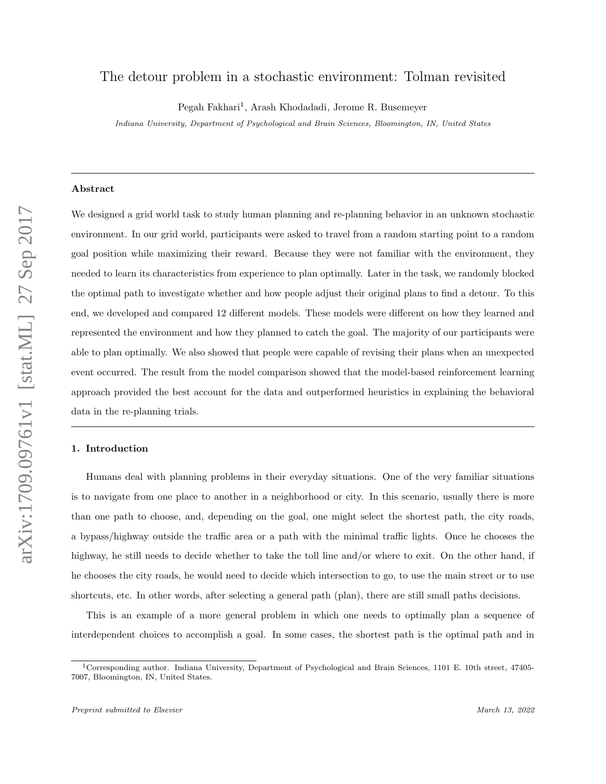# The detour problem in a stochastic environment: Tolman revisited

Pegah Fakhari<sup>1</sup>, Arash Khodadadi, Jerome R. Busemeyer

Indiana University, Department of Psychological and Brain Sciences, Bloomington, IN, United States

# Abstract

We designed a grid world task to study human planning and re-planning behavior in an unknown stochastic environment. In our grid world, participants were asked to travel from a random starting point to a random goal position while maximizing their reward. Because they were not familiar with the environment, they needed to learn its characteristics from experience to plan optimally. Later in the task, we randomly blocked the optimal path to investigate whether and how people adjust their original plans to find a detour. To this end, we developed and compared 12 different models. These models were different on how they learned and represented the environment and how they planned to catch the goal. The majority of our participants were able to plan optimally. We also showed that people were capable of revising their plans when an unexpected event occurred. The result from the model comparison showed that the model-based reinforcement learning approach provided the best account for the data and outperformed heuristics in explaining the behavioral data in the re-planning trials.

### 1. Introduction

Humans deal with planning problems in their everyday situations. One of the very familiar situations is to navigate from one place to another in a neighborhood or city. In this scenario, usually there is more than one path to choose, and, depending on the goal, one might select the shortest path, the city roads, a bypass/highway outside the traffic area or a path with the minimal traffic lights. Once he chooses the highway, he still needs to decide whether to take the toll line and/or where to exit. On the other hand, if he chooses the city roads, he would need to decide which intersection to go, to use the main street or to use shortcuts, etc. In other words, after selecting a general path (plan), there are still small paths decisions.

This is an example of a more general problem in which one needs to optimally plan a sequence of interdependent choices to accomplish a goal. In some cases, the shortest path is the optimal path and in

<sup>1</sup>Corresponding author. Indiana University, Department of Psychological and Brain Sciences, 1101 E. 10th street, 47405- 7007, Bloomington, IN, United States.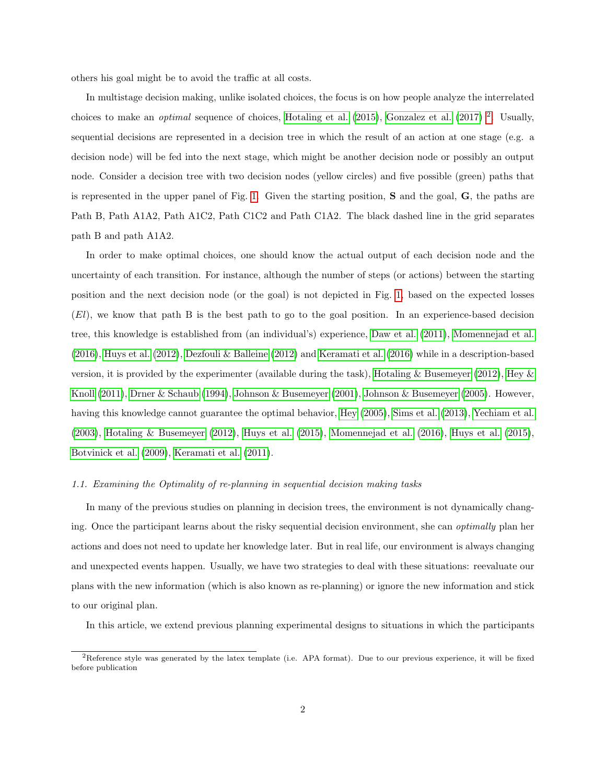others his goal might be to avoid the traffic at all costs.

In multistage decision making, unlike isolated choices, the focus is on how people analyze the interrelated choices to make an *optimal* sequence of choices, [Hotaling et al.](#page-40-0)  $(2015)$ , [Gonzalez et al.](#page-40-1)  $(2017)$ <sup>[2](#page-1-0)</sup>. Usually, sequential decisions are represented in a decision tree in which the result of an action at one stage (e.g. a decision node) will be fed into the next stage, which might be another decision node or possibly an output node. Consider a decision tree with two decision nodes (yellow circles) and five possible (green) paths that is represented in the upper panel of Fig. [1.](#page-2-0) Given the starting position, S and the goal, G, the paths are Path B, Path A1A2, Path A1C2, Path C1C2 and Path C1A2. The black dashed line in the grid separates path B and path A1A2.

In order to make optimal choices, one should know the actual output of each decision node and the uncertainty of each transition. For instance, although the number of steps (or actions) between the starting position and the next decision node (or the goal) is not depicted in Fig. [1,](#page-2-0) based on the expected losses (El), we know that path B is the best path to go to the goal position. In an experience-based decision tree, this knowledge is established from (an individual's) experience, [Daw et al.](#page-38-0) [\(2011\)](#page-38-0), [Momennejad et al.](#page-41-0) [\(2016\)](#page-41-0), [Huys et al.](#page-40-2) [\(2012\)](#page-40-2), [Dezfouli & Balleine](#page-39-0) [\(2012\)](#page-39-0) and [Keramati et al.](#page-41-1) [\(2016\)](#page-41-1) while in a description-based version, it is provided by the experimenter (available during the task), [Hotaling & Busemeyer](#page-40-3) [\(2012\)](#page-40-3), Hey  $\&$ [Knoll](#page-40-4) [\(2011\)](#page-40-4), [Drner & Schaub](#page-39-1) [\(1994\)](#page-39-1), [Johnson & Busemeyer](#page-40-5) [\(2001\)](#page-40-5), [Johnson & Busemeyer](#page-40-6) [\(2005\)](#page-40-6). However, having this knowledge cannot guarantee the optimal behavior, [Hey](#page-40-7) [\(2005\)](#page-40-7), [Sims et al.](#page-42-0) [\(2013\)](#page-42-0), [Yechiam et al.](#page-43-0) [\(2003\)](#page-43-0), [Hotaling & Busemeyer](#page-40-3) [\(2012\)](#page-40-3), [Huys et al.](#page-40-8) [\(2015\)](#page-40-8), [Momennejad et al.](#page-41-0) [\(2016\)](#page-41-0), [Huys et al.](#page-40-8) [\(2015\)](#page-40-8), [Botvinick et al.](#page-38-1) [\(2009\)](#page-38-1), [Keramati et al.](#page-41-2) [\(2011\)](#page-41-2).

# 1.1. Examining the Optimality of re-planning in sequential decision making tasks

In many of the previous studies on planning in decision trees, the environment is not dynamically changing. Once the participant learns about the risky sequential decision environment, she can *optimally* plan her actions and does not need to update her knowledge later. But in real life, our environment is always changing and unexpected events happen. Usually, we have two strategies to deal with these situations: reevaluate our plans with the new information (which is also known as re-planning) or ignore the new information and stick to our original plan.

In this article, we extend previous planning experimental designs to situations in which the participants

<span id="page-1-0"></span><sup>&</sup>lt;sup>2</sup>Reference style was generated by the latex template (i.e. APA format). Due to our previous experience, it will be fixed before publication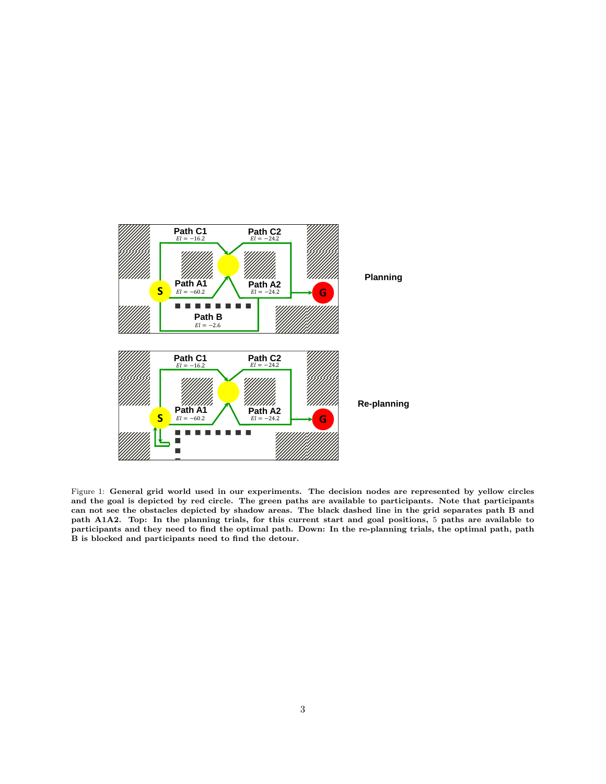<span id="page-2-0"></span>

Figure 1: General grid world used in our experiments. The decision nodes are represented by yellow circles and the goal is depicted by red circle. The green paths are available to participants. Note that participants can not see the obstacles depicted by shadow areas. The black dashed line in the grid separates path B and path A1A2. Top: In the planning trials, for this current start and goal positions, 5 paths are available to participants and they need to find the optimal path. Down: In the re-planning trials, the optimal path, path B is blocked and participants need to find the detour.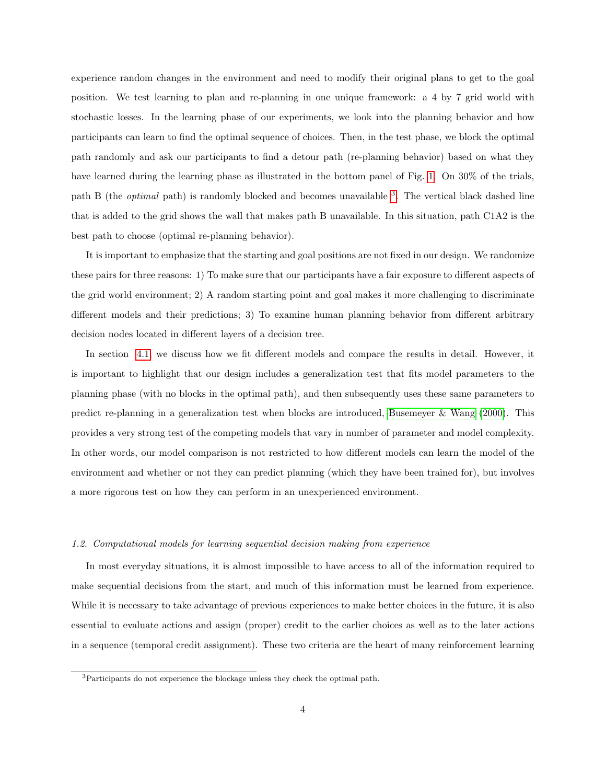experience random changes in the environment and need to modify their original plans to get to the goal position. We test learning to plan and re-planning in one unique framework: a 4 by 7 grid world with stochastic losses. In the learning phase of our experiments, we look into the planning behavior and how participants can learn to find the optimal sequence of choices. Then, in the test phase, we block the optimal path randomly and ask our participants to find a detour path (re-planning behavior) based on what they have learned during the learning phase as illustrated in the bottom panel of Fig. [1.](#page-2-0) On 30% of the trials, path B (the *optimal* path) is randomly blocked and becomes unavailable <sup>[3](#page-3-0)</sup>. The vertical black dashed line that is added to the grid shows the wall that makes path B unavailable. In this situation, path C1A2 is the best path to choose (optimal re-planning behavior).

It is important to emphasize that the starting and goal positions are not fixed in our design. We randomize these pairs for three reasons: 1) To make sure that our participants have a fair exposure to different aspects of the grid world environment; 2) A random starting point and goal makes it more challenging to discriminate different models and their predictions; 3) To examine human planning behavior from different arbitrary decision nodes located in different layers of a decision tree.

In section [4.1,](#page-27-0) we discuss how we fit different models and compare the results in detail. However, it is important to highlight that our design includes a generalization test that fits model parameters to the planning phase (with no blocks in the optimal path), and then subsequently uses these same parameters to predict re-planning in a generalization test when blocks are introduced, [Busemeyer & Wang](#page-38-2) [\(2000\)](#page-38-2). This provides a very strong test of the competing models that vary in number of parameter and model complexity. In other words, our model comparison is not restricted to how different models can learn the model of the environment and whether or not they can predict planning (which they have been trained for), but involves a more rigorous test on how they can perform in an unexperienced environment.

# 1.2. Computational models for learning sequential decision making from experience

In most everyday situations, it is almost impossible to have access to all of the information required to make sequential decisions from the start, and much of this information must be learned from experience. While it is necessary to take advantage of previous experiences to make better choices in the future, it is also essential to evaluate actions and assign (proper) credit to the earlier choices as well as to the later actions in a sequence (temporal credit assignment). These two criteria are the heart of many reinforcement learning

<span id="page-3-0"></span><sup>&</sup>lt;sup>3</sup>Participants do not experience the blockage unless they check the optimal path.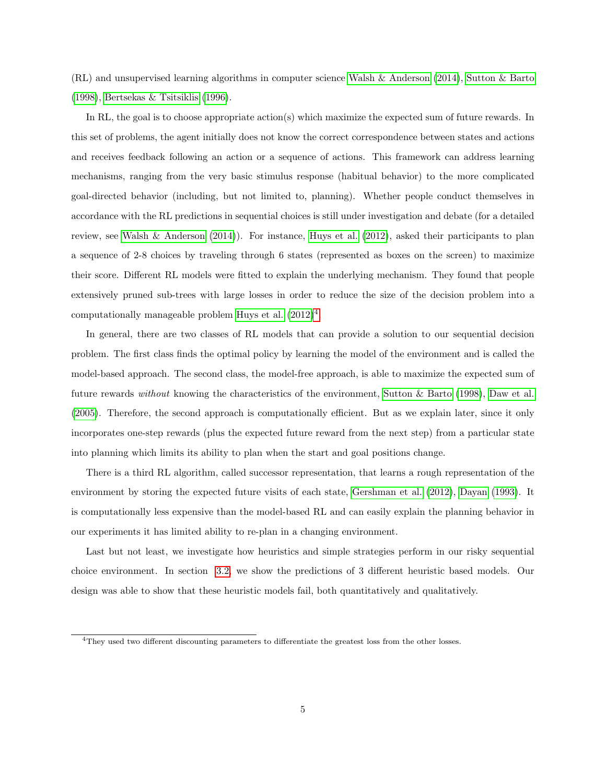(RL) and unsupervised learning algorithms in computer science [Walsh & Anderson](#page-43-1) [\(2014\)](#page-43-1), [Sutton & Barto](#page-42-1) [\(1998\)](#page-42-1), [Bertsekas & Tsitsiklis](#page-38-3) [\(1996\)](#page-38-3).

In RL, the goal is to choose appropriate action(s) which maximize the expected sum of future rewards. In this set of problems, the agent initially does not know the correct correspondence between states and actions and receives feedback following an action or a sequence of actions. This framework can address learning mechanisms, ranging from the very basic stimulus response (habitual behavior) to the more complicated goal-directed behavior (including, but not limited to, planning). Whether people conduct themselves in accordance with the RL predictions in sequential choices is still under investigation and debate (for a detailed review, see [Walsh & Anderson](#page-43-1)  $(2014)$ ). For instance, [Huys et al.](#page-40-2)  $(2012)$ , asked their participants to plan a sequence of 2-8 choices by traveling through 6 states (represented as boxes on the screen) to maximize their score. Different RL models were fitted to explain the underlying mechanism. They found that people extensively pruned sub-trees with large losses in order to reduce the size of the decision problem into a computationally manageable problem [Huys et al.](#page-40-2)  $(2012)^4$  $(2012)^4$  $(2012)^4$ .

In general, there are two classes of RL models that can provide a solution to our sequential decision problem. The first class finds the optimal policy by learning the model of the environment and is called the model-based approach. The second class, the model-free approach, is able to maximize the expected sum of future rewards without knowing the characteristics of the environment, [Sutton & Barto](#page-42-1) [\(1998\)](#page-42-1), [Daw et al.](#page-38-4) [\(2005\)](#page-38-4). Therefore, the second approach is computationally efficient. But as we explain later, since it only incorporates one-step rewards (plus the expected future reward from the next step) from a particular state into planning which limits its ability to plan when the start and goal positions change.

There is a third RL algorithm, called successor representation, that learns a rough representation of the environment by storing the expected future visits of each state, [Gershman et al.](#page-40-9) [\(2012\)](#page-40-9), [Dayan](#page-38-5) [\(1993\)](#page-38-5). It is computationally less expensive than the model-based RL and can easily explain the planning behavior in our experiments it has limited ability to re-plan in a changing environment.

Last but not least, we investigate how heuristics and simple strategies perform in our risky sequential choice environment. In section [3.2,](#page-22-0) we show the predictions of 3 different heuristic based models. Our design was able to show that these heuristic models fail, both quantitatively and qualitatively.

<span id="page-4-0"></span><sup>4</sup>They used two different discounting parameters to differentiate the greatest loss from the other losses.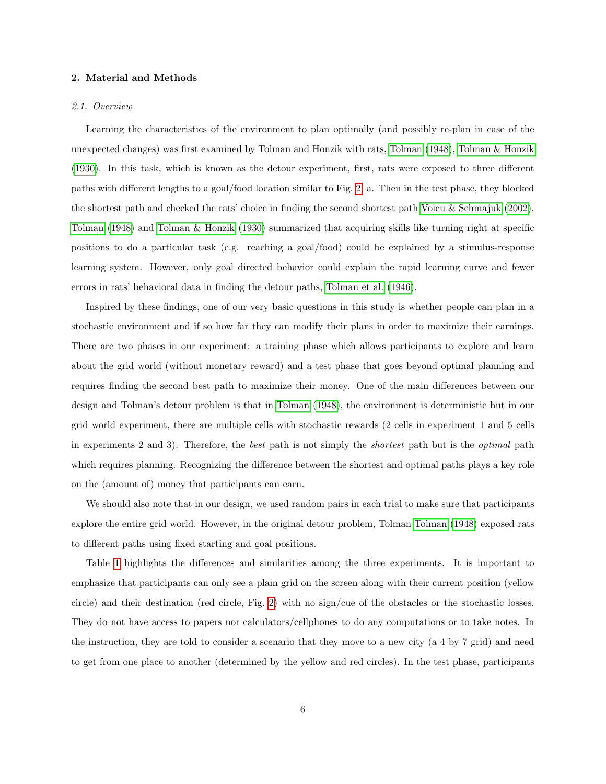#### 2. Material and Methods

#### 2.1. Overview

Learning the characteristics of the environment to plan optimally (and possibly re-plan in case of the unexpected changes) was first examined by Tolman and Honzik with rats, [Tolman](#page-42-2) [\(1948\)](#page-42-2), [Tolman & Honzik](#page-43-2) [\(1930\)](#page-43-2). In this task, which is known as the detour experiment, first, rats were exposed to three different paths with different lengths to a goal/food location similar to Fig. [2,](#page-8-0) a. Then in the test phase, they blocked the shortest path and checked the rats' choice in finding the second shortest path [Voicu & Schmajuk](#page-43-3) [\(2002\)](#page-43-3). [Tolman](#page-42-2) [\(1948\)](#page-42-2) and [Tolman & Honzik](#page-43-2) [\(1930\)](#page-43-2) summarized that acquiring skills like turning right at specific positions to do a particular task (e.g. reaching a goal/food) could be explained by a stimulus-response learning system. However, only goal directed behavior could explain the rapid learning curve and fewer errors in rats' behavioral data in finding the detour paths, [Tolman et al.](#page-43-4) [\(1946\)](#page-43-4).

Inspired by these findings, one of our very basic questions in this study is whether people can plan in a stochastic environment and if so how far they can modify their plans in order to maximize their earnings. There are two phases in our experiment: a training phase which allows participants to explore and learn about the grid world (without monetary reward) and a test phase that goes beyond optimal planning and requires finding the second best path to maximize their money. One of the main differences between our design and Tolman's detour problem is that in [Tolman](#page-42-2) [\(1948\)](#page-42-2), the environment is deterministic but in our grid world experiment, there are multiple cells with stochastic rewards (2 cells in experiment 1 and 5 cells in experiments 2 and 3). Therefore, the best path is not simply the shortest path but is the optimal path which requires planning. Recognizing the difference between the shortest and optimal paths plays a key role on the (amount of) money that participants can earn.

We should also note that in our design, we used random pairs in each trial to make sure that participants explore the entire grid world. However, in the original detour problem, Tolman [Tolman](#page-42-2) [\(1948\)](#page-42-2) exposed rats to different paths using fixed starting and goal positions.

Table [1](#page-6-0) highlights the differences and similarities among the three experiments. It is important to emphasize that participants can only see a plain grid on the screen along with their current position (yellow circle) and their destination (red circle, Fig. [2\)](#page-8-0) with no sign/cue of the obstacles or the stochastic losses. They do not have access to papers nor calculators/cellphones to do any computations or to take notes. In the instruction, they are told to consider a scenario that they move to a new city (a 4 by 7 grid) and need to get from one place to another (determined by the yellow and red circles). In the test phase, participants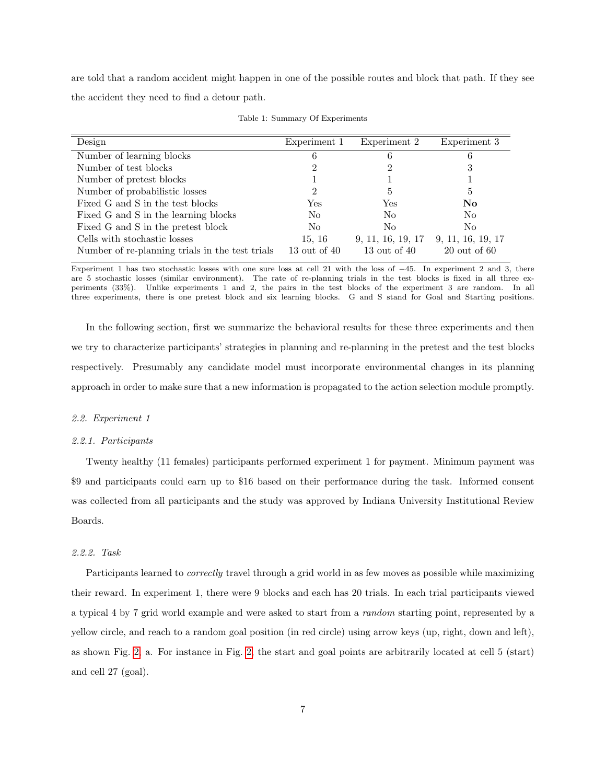are told that a random accident might happen in one of the possible routes and block that path. If they see the accident they need to find a detour path.

<span id="page-6-0"></span>

| Design                                          | Experiment 1   | Experiment 2      | Experiment 3      |
|-------------------------------------------------|----------------|-------------------|-------------------|
| Number of learning blocks                       | 6              | 6                 | 6                 |
| Number of test blocks                           |                | 2                 | 3                 |
| Number of pretest blocks                        |                |                   |                   |
| Number of probabilistic losses                  | 2              | 5                 | $\frac{5}{2}$     |
| Fixed G and S in the test blocks                | Yes            | Yes               | No                |
| Fixed G and S in the learning blocks            | N <sub>0</sub> | No                | N <sub>0</sub>    |
| Fixed G and S in the pretest block              | N <sub>0</sub> | N <sub>0</sub>    | N <sub>0</sub>    |
| Cells with stochastic losses                    | 15, 16         | 9, 11, 16, 19, 17 | 9, 11, 16, 19, 17 |
| Number of re-planning trials in the test trials | 13 out of 40   | 13 out of 40      | $20$ out of 60    |

Table 1: Summary Of Experiments

Experiment 1 has two stochastic losses with one sure loss at cell 21 with the loss of −45. In experiment 2 and 3, there are 5 stochastic losses (similar environment). The rate of re-planning trials in the test blocks is fixed in all three experiments (33%). Unlike experiments 1 and 2, the pairs in the test blocks of the experiment 3 are random. In all three experiments, there is one pretest block and six learning blocks. G and S stand for Goal and Starting positions.

In the following section, first we summarize the behavioral results for these three experiments and then we try to characterize participants' strategies in planning and re-planning in the pretest and the test blocks respectively. Presumably any candidate model must incorporate environmental changes in its planning approach in order to make sure that a new information is propagated to the action selection module promptly.

### 2.2. Experiment 1

#### 2.2.1. Participants

Twenty healthy (11 females) participants performed experiment 1 for payment. Minimum payment was \$9 and participants could earn up to \$16 based on their performance during the task. Informed consent was collected from all participants and the study was approved by Indiana University Institutional Review Boards.

### 2.2.2. Task

Participants learned to *correctly* travel through a grid world in as few moves as possible while maximizing their reward. In experiment 1, there were 9 blocks and each has 20 trials. In each trial participants viewed a typical 4 by 7 grid world example and were asked to start from a random starting point, represented by a yellow circle, and reach to a random goal position (in red circle) using arrow keys (up, right, down and left), as shown Fig. [2,](#page-8-0) a. For instance in Fig. [2,](#page-8-0) the start and goal points are arbitrarily located at cell 5 (start) and cell 27 (goal).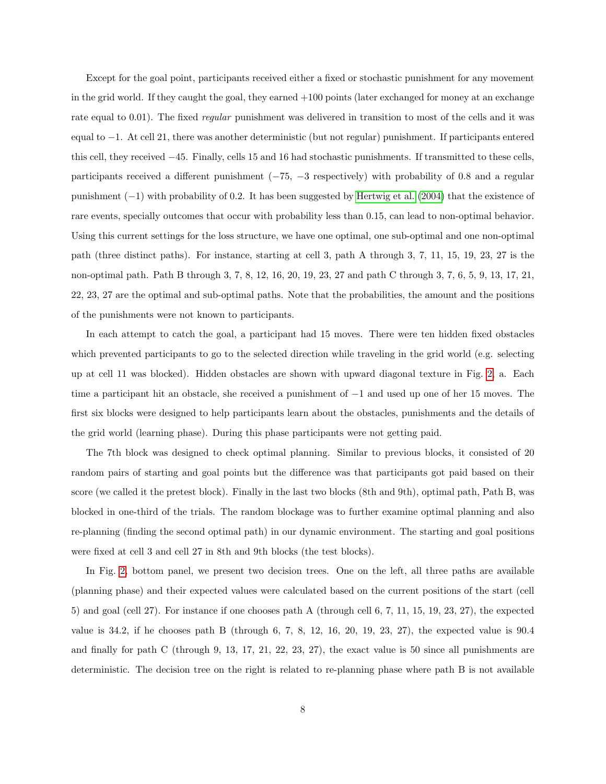Except for the goal point, participants received either a fixed or stochastic punishment for any movement in the grid world. If they caught the goal, they earned +100 points (later exchanged for money at an exchange rate equal to 0.01). The fixed *regular* punishment was delivered in transition to most of the cells and it was equal to −1. At cell 21, there was another deterministic (but not regular) punishment. If participants entered this cell, they received −45. Finally, cells 15 and 16 had stochastic punishments. If transmitted to these cells, participants received a different punishment  $(-75, -3$  respectively) with probability of 0.8 and a regular punishment (−1) with probability of 0.2. It has been suggested by [Hertwig et al.](#page-40-10) [\(2004\)](#page-40-10) that the existence of rare events, specially outcomes that occur with probability less than 0.15, can lead to non-optimal behavior. Using this current settings for the loss structure, we have one optimal, one sub-optimal and one non-optimal path (three distinct paths). For instance, starting at cell 3, path A through 3, 7, 11, 15, 19, 23, 27 is the non-optimal path. Path B through 3, 7, 8, 12, 16, 20, 19, 23, 27 and path C through 3, 7, 6, 5, 9, 13, 17, 21, 22, 23, 27 are the optimal and sub-optimal paths. Note that the probabilities, the amount and the positions of the punishments were not known to participants.

In each attempt to catch the goal, a participant had 15 moves. There were ten hidden fixed obstacles which prevented participants to go to the selected direction while traveling in the grid world (e.g. selecting up at cell 11 was blocked). Hidden obstacles are shown with upward diagonal texture in Fig. [2,](#page-8-0) a. Each time a participant hit an obstacle, she received a punishment of −1 and used up one of her 15 moves. The first six blocks were designed to help participants learn about the obstacles, punishments and the details of the grid world (learning phase). During this phase participants were not getting paid.

The 7th block was designed to check optimal planning. Similar to previous blocks, it consisted of 20 random pairs of starting and goal points but the difference was that participants got paid based on their score (we called it the pretest block). Finally in the last two blocks (8th and 9th), optimal path, Path B, was blocked in one-third of the trials. The random blockage was to further examine optimal planning and also re-planning (finding the second optimal path) in our dynamic environment. The starting and goal positions were fixed at cell 3 and cell 27 in 8th and 9th blocks (the test blocks).

In Fig. [2,](#page-8-0) bottom panel, we present two decision trees. One on the left, all three paths are available (planning phase) and their expected values were calculated based on the current positions of the start (cell 5) and goal (cell 27). For instance if one chooses path A (through cell 6, 7, 11, 15, 19, 23, 27), the expected value is 34.2, if he chooses path B (through 6, 7, 8, 12, 16, 20, 19, 23, 27), the expected value is 90.4 and finally for path C (through 9, 13, 17, 21, 22, 23, 27), the exact value is 50 since all punishments are deterministic. The decision tree on the right is related to re-planning phase where path B is not available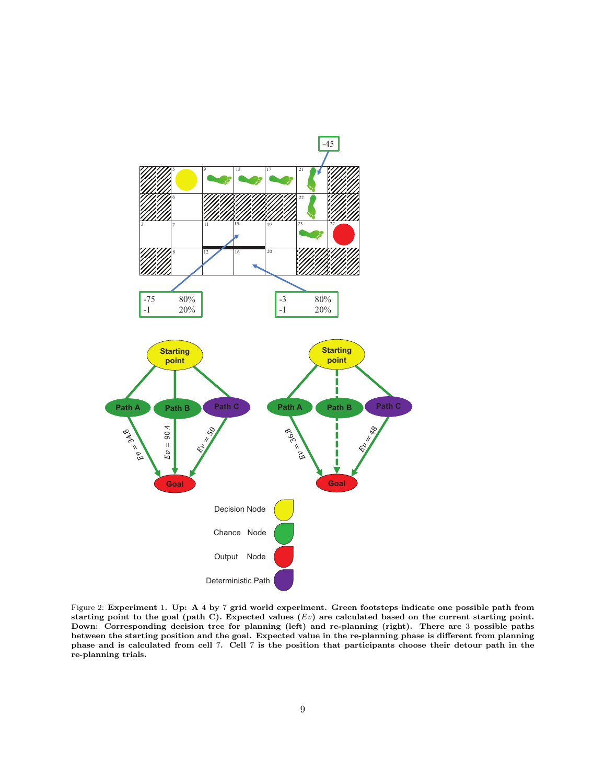<span id="page-8-0"></span>

Figure 2: Experiment 1. Up: A 4 by 7 grid world experiment. Green footsteps indicate one possible path from starting point to the goal (path C). Expected values  $(Ev)$  are calculated based on the current starting point. Down: Corresponding decision tree for planning (left) and re-planning (right). There are 3 possible paths between the starting position and the goal. Expected value in the re-planning phase is different from planning phase and is calculated from cell 7. Cell 7 is the position that participants choose their detour path in the re-planning trials.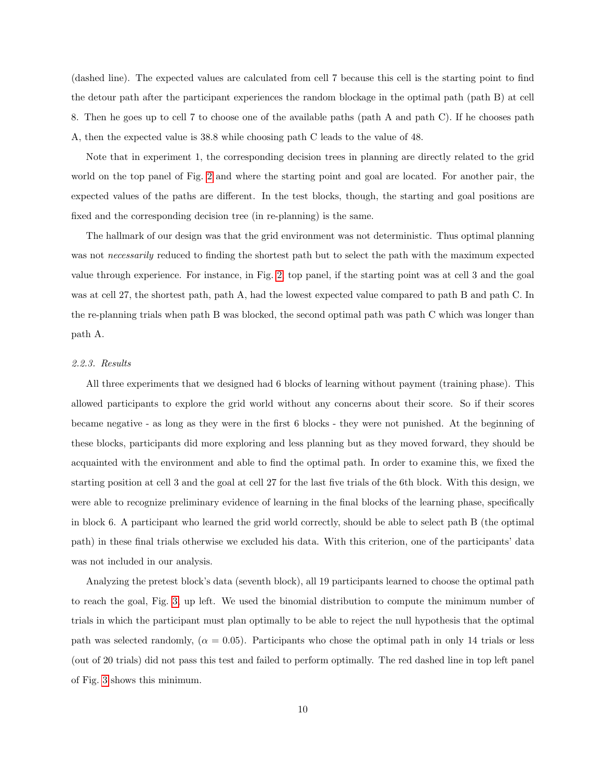(dashed line). The expected values are calculated from cell 7 because this cell is the starting point to find the detour path after the participant experiences the random blockage in the optimal path (path B) at cell 8. Then he goes up to cell 7 to choose one of the available paths (path A and path C). If he chooses path A, then the expected value is 38.8 while choosing path C leads to the value of 48.

Note that in experiment 1, the corresponding decision trees in planning are directly related to the grid world on the top panel of Fig. [2](#page-8-0) and where the starting point and goal are located. For another pair, the expected values of the paths are different. In the test blocks, though, the starting and goal positions are fixed and the corresponding decision tree (in re-planning) is the same.

The hallmark of our design was that the grid environment was not deterministic. Thus optimal planning was not *necessarily* reduced to finding the shortest path but to select the path with the maximum expected value through experience. For instance, in Fig. [2,](#page-8-0) top panel, if the starting point was at cell 3 and the goal was at cell 27, the shortest path, path A, had the lowest expected value compared to path B and path C. In the re-planning trials when path B was blocked, the second optimal path was path C which was longer than path A.

### 2.2.3. Results

All three experiments that we designed had 6 blocks of learning without payment (training phase). This allowed participants to explore the grid world without any concerns about their score. So if their scores became negative - as long as they were in the first 6 blocks - they were not punished. At the beginning of these blocks, participants did more exploring and less planning but as they moved forward, they should be acquainted with the environment and able to find the optimal path. In order to examine this, we fixed the starting position at cell 3 and the goal at cell 27 for the last five trials of the 6th block. With this design, we were able to recognize preliminary evidence of learning in the final blocks of the learning phase, specifically in block 6. A participant who learned the grid world correctly, should be able to select path B (the optimal path) in these final trials otherwise we excluded his data. With this criterion, one of the participants' data was not included in our analysis.

Analyzing the pretest block's data (seventh block), all 19 participants learned to choose the optimal path to reach the goal, Fig. [3,](#page-11-0) up left. We used the binomial distribution to compute the minimum number of trials in which the participant must plan optimally to be able to reject the null hypothesis that the optimal path was selected randomly,  $(\alpha = 0.05)$ . Participants who chose the optimal path in only 14 trials or less (out of 20 trials) did not pass this test and failed to perform optimally. The red dashed line in top left panel of Fig. [3](#page-11-0) shows this minimum.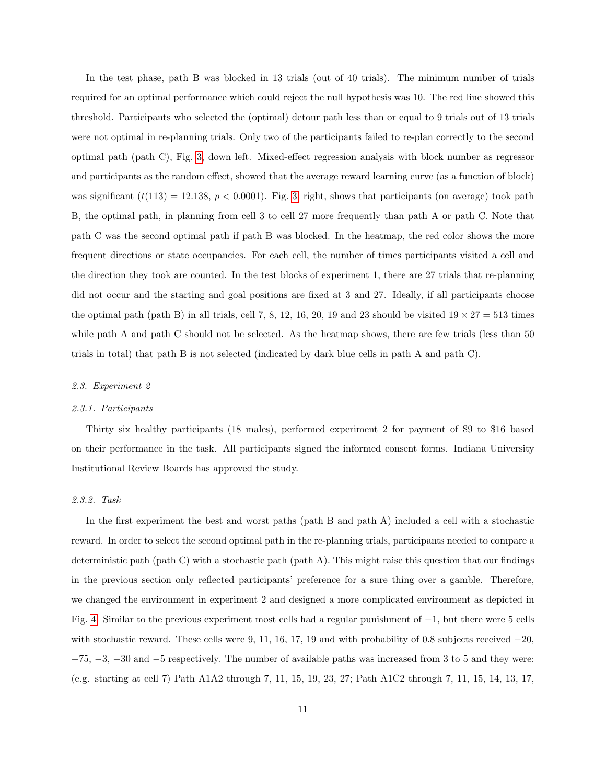In the test phase, path B was blocked in 13 trials (out of 40 trials). The minimum number of trials required for an optimal performance which could reject the null hypothesis was 10. The red line showed this threshold. Participants who selected the (optimal) detour path less than or equal to 9 trials out of 13 trials were not optimal in re-planning trials. Only two of the participants failed to re-plan correctly to the second optimal path (path C), Fig. [3,](#page-11-0) down left. Mixed-effect regression analysis with block number as regressor and participants as the random effect, showed that the average reward learning curve (as a function of block) was significant  $(t(113) = 12.138, p < 0.0001)$ . Fig. [3,](#page-11-0) right, shows that participants (on average) took path B, the optimal path, in planning from cell 3 to cell 27 more frequently than path A or path C. Note that path C was the second optimal path if path B was blocked. In the heatmap, the red color shows the more frequent directions or state occupancies. For each cell, the number of times participants visited a cell and the direction they took are counted. In the test blocks of experiment 1, there are 27 trials that re-planning did not occur and the starting and goal positions are fixed at 3 and 27. Ideally, if all participants choose the optimal path (path B) in all trials, cell 7, 8, 12, 16, 20, 19 and 23 should be visited  $19 \times 27 = 513$  times while path A and path C should not be selected. As the heatmap shows, there are few trials (less than 50 trials in total) that path B is not selected (indicated by dark blue cells in path A and path C).

#### 2.3. Experiment 2

#### 2.3.1. Participants

Thirty six healthy participants (18 males), performed experiment 2 for payment of \$9 to \$16 based on their performance in the task. All participants signed the informed consent forms. Indiana University Institutional Review Boards has approved the study.

### 2.3.2. Task

In the first experiment the best and worst paths (path B and path A) included a cell with a stochastic reward. In order to select the second optimal path in the re-planning trials, participants needed to compare a deterministic path (path C) with a stochastic path (path A). This might raise this question that our findings in the previous section only reflected participants' preference for a sure thing over a gamble. Therefore, we changed the environment in experiment 2 and designed a more complicated environment as depicted in Fig. [4.](#page-13-0) Similar to the previous experiment most cells had a regular punishment of −1, but there were 5 cells with stochastic reward. These cells were 9, 11, 16, 17, 19 and with probability of 0.8 subjects received  $-20$ . −75, −3, −30 and −5 respectively. The number of available paths was increased from 3 to 5 and they were: (e.g. starting at cell 7) Path A1A2 through 7, 11, 15, 19, 23, 27; Path A1C2 through 7, 11, 15, 14, 13, 17,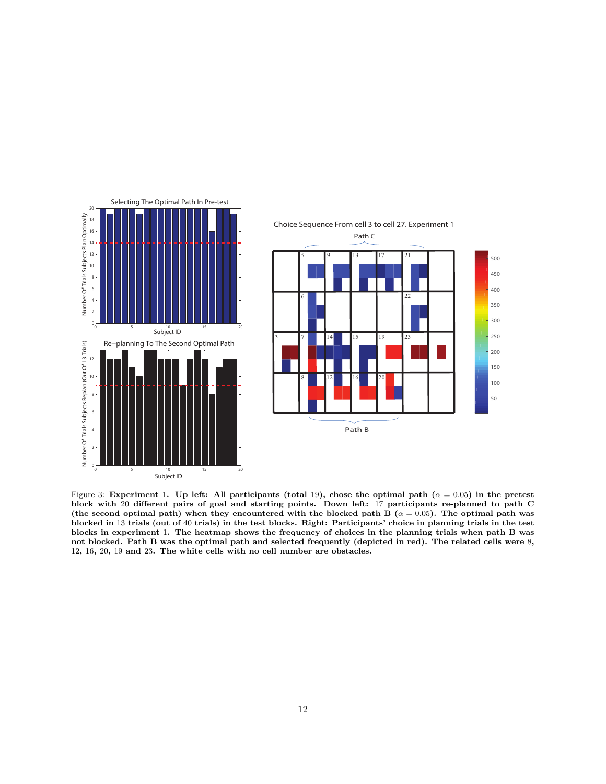<span id="page-11-0"></span>

Figure 3: Experiment 1. Up left: All participants (total 19), chose the optimal path ( $\alpha = 0.05$ ) in the pretest block with 20 different pairs of goal and starting points. Down left: 17 participants re-planned to path C (the second optimal path) when they encountered with the blocked path B ( $\alpha = 0.05$ ). The optimal path was blocked in 13 trials (out of 40 trials) in the test blocks. Right: Participants' choice in planning trials in the test blocks in experiment 1. The heatmap shows the frequency of choices in the planning trials when path B was not blocked. Path B was the optimal path and selected frequently (depicted in red). The related cells were 8, , 16, 20, 19 and 23. The white cells with no cell number are obstacles.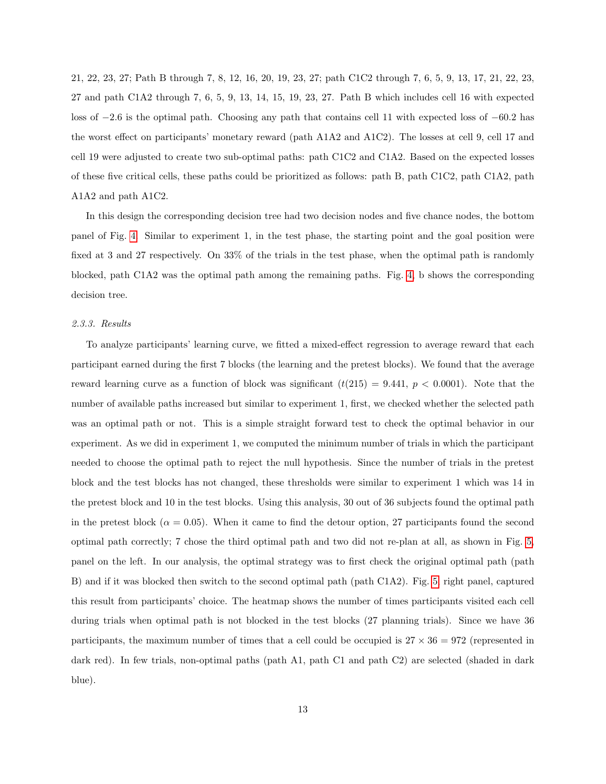21, 22, 23, 27; Path B through 7, 8, 12, 16, 20, 19, 23, 27; path C1C2 through 7, 6, 5, 9, 13, 17, 21, 22, 23, 27 and path C1A2 through 7, 6, 5, 9, 13, 14, 15, 19, 23, 27. Path B which includes cell 16 with expected loss of −2.6 is the optimal path. Choosing any path that contains cell 11 with expected loss of −60.2 has the worst effect on participants' monetary reward (path A1A2 and A1C2). The losses at cell 9, cell 17 and cell 19 were adjusted to create two sub-optimal paths: path C1C2 and C1A2. Based on the expected losses of these five critical cells, these paths could be prioritized as follows: path B, path C1C2, path C1A2, path A1A2 and path A1C2.

In this design the corresponding decision tree had two decision nodes and five chance nodes, the bottom panel of Fig. [4.](#page-13-0) Similar to experiment 1, in the test phase, the starting point and the goal position were fixed at 3 and 27 respectively. On 33% of the trials in the test phase, when the optimal path is randomly blocked, path C1A2 was the optimal path among the remaining paths. Fig. [4,](#page-13-0) b shows the corresponding decision tree.

### 2.3.3. Results

To analyze participants' learning curve, we fitted a mixed-effect regression to average reward that each participant earned during the first 7 blocks (the learning and the pretest blocks). We found that the average reward learning curve as a function of block was significant  $(t(215) = 9.441, p < 0.0001)$ . Note that the number of available paths increased but similar to experiment 1, first, we checked whether the selected path was an optimal path or not. This is a simple straight forward test to check the optimal behavior in our experiment. As we did in experiment 1, we computed the minimum number of trials in which the participant needed to choose the optimal path to reject the null hypothesis. Since the number of trials in the pretest block and the test blocks has not changed, these thresholds were similar to experiment 1 which was 14 in the pretest block and 10 in the test blocks. Using this analysis, 30 out of 36 subjects found the optimal path in the pretest block ( $\alpha = 0.05$ ). When it came to find the detour option, 27 participants found the second optimal path correctly; 7 chose the third optimal path and two did not re-plan at all, as shown in Fig. [5,](#page-14-0) panel on the left. In our analysis, the optimal strategy was to first check the original optimal path (path B) and if it was blocked then switch to the second optimal path (path C1A2). Fig. [5,](#page-14-0) right panel, captured this result from participants' choice. The heatmap shows the number of times participants visited each cell during trials when optimal path is not blocked in the test blocks (27 planning trials). Since we have 36 participants, the maximum number of times that a cell could be occupied is  $27 \times 36 = 972$  (represented in dark red). In few trials, non-optimal paths (path A1, path C1 and path C2) are selected (shaded in dark blue).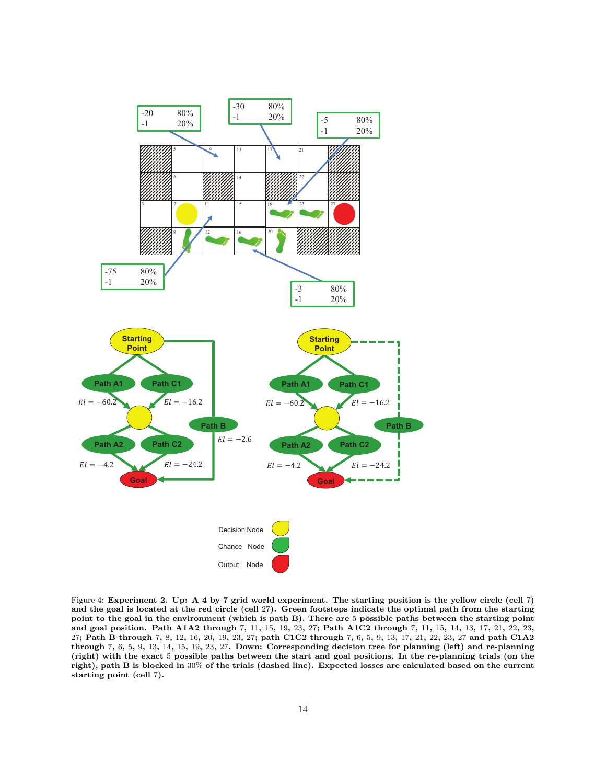<span id="page-13-0"></span>

Figure 4: Experiment 2. Up: A 4 by 7 grid world experiment. The starting position is the yellow circle (cell 7) and the goal is located at the red circle (cell 27). Green footsteps indicate the optimal path from the starting point to the goal in the environment (which is path B). There are 5 possible paths between the starting point and goal position. Path A1A2 through 7, 11, 15, 19, 23, 27; Path A1C2 through 7, 11, 15, 14, 13, 17, 21, 22, 23, 27; Path B through 7, 8, 12, 16, 20, 19, 23, 27; path C1C2 through 7, 6, 5, 9, 13, 17, 21, 22, 23, 27 and path C1A2 through 7, 6, 5, 9, 13, 14, 15, 19, 23, 27. Down: Corresponding decision tree for planning (left) and re-planning (right) with the exact 5 possible paths between the start and goal positions. In the re-planning trials (on the right), path B is blocked in 30% of the trials (dashed line). Expected losses are calculated based on the current starting point (cell 7).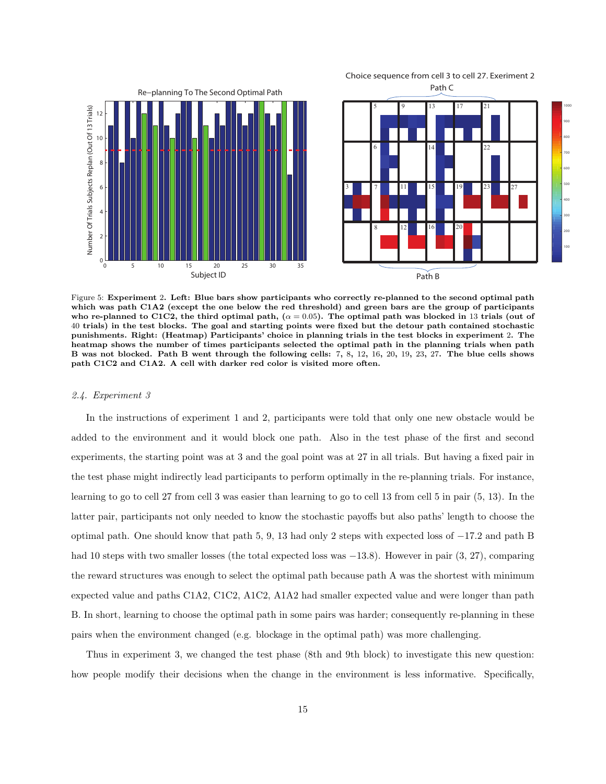<span id="page-14-0"></span>

Choice sequence from cell 3 to cell 27. Exeriment 2

Figure 5: Experiment 2. Left: Blue bars show participants who correctly re-planned to the second optimal path which was path C1A2 (except the one below the red threshold) and green bars are the group of participants who re-planned to C1C2, the third optimal path,  $(\alpha = 0.05)$ . The optimal path was blocked in 13 trials (out of 40 trials) in the test blocks. The goal and starting points were fixed but the detour path contained stochastic punishments. Right: (Heatmap) Participants' choice in planning trials in the test blocks in experiment 2. The heatmap shows the number of times participants selected the optimal path in the planning trials when path B was not blocked. Path B went through the following cells: 7, 8, 12, 16, 20, 19, 23, 27. The blue cells shows path C1C2 and C1A2. A cell with darker red color is visited more often.

#### 2.4. Experiment 3

In the instructions of experiment 1 and 2, participants were told that only one new obstacle would be added to the environment and it would block one path. Also in the test phase of the first and second experiments, the starting point was at 3 and the goal point was at 27 in all trials. But having a fixed pair in the test phase might indirectly lead participants to perform optimally in the re-planning trials. For instance, learning to go to cell 27 from cell 3 was easier than learning to go to cell 13 from cell 5 in pair (5, 13). In the latter pair, participants not only needed to know the stochastic payoffs but also paths' length to choose the optimal path. One should know that path 5, 9, 13 had only 2 steps with expected loss of −17.2 and path B had 10 steps with two smaller losses (the total expected loss was −13.8). However in pair (3, 27), comparing the reward structures was enough to select the optimal path because path A was the shortest with minimum expected value and paths C1A2, C1C2, A1C2, A1A2 had smaller expected value and were longer than path B. In short, learning to choose the optimal path in some pairs was harder; consequently re-planning in these pairs when the environment changed (e.g. blockage in the optimal path) was more challenging.

Thus in experiment 3, we changed the test phase (8th and 9th block) to investigate this new question: how people modify their decisions when the change in the environment is less informative. Specifically,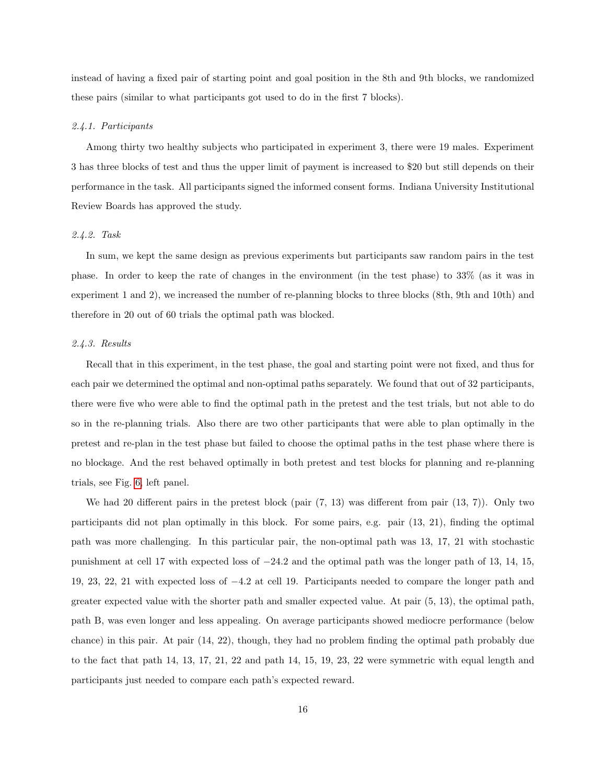instead of having a fixed pair of starting point and goal position in the 8th and 9th blocks, we randomized these pairs (similar to what participants got used to do in the first 7 blocks).

#### 2.4.1. Participants

Among thirty two healthy subjects who participated in experiment 3, there were 19 males. Experiment 3 has three blocks of test and thus the upper limit of payment is increased to \$20 but still depends on their performance in the task. All participants signed the informed consent forms. Indiana University Institutional Review Boards has approved the study.

### 2.4.2. Task

In sum, we kept the same design as previous experiments but participants saw random pairs in the test phase. In order to keep the rate of changes in the environment (in the test phase) to 33% (as it was in experiment 1 and 2), we increased the number of re-planning blocks to three blocks (8th, 9th and 10th) and therefore in 20 out of 60 trials the optimal path was blocked.

# 2.4.3. Results

Recall that in this experiment, in the test phase, the goal and starting point were not fixed, and thus for each pair we determined the optimal and non-optimal paths separately. We found that out of 32 participants, there were five who were able to find the optimal path in the pretest and the test trials, but not able to do so in the re-planning trials. Also there are two other participants that were able to plan optimally in the pretest and re-plan in the test phase but failed to choose the optimal paths in the test phase where there is no blockage. And the rest behaved optimally in both pretest and test blocks for planning and re-planning trials, see Fig. [6,](#page-16-0) left panel.

We had 20 different pairs in the pretest block (pair  $(7, 13)$ ) was different from pair  $(13, 7)$ ). Only two participants did not plan optimally in this block. For some pairs, e.g. pair (13, 21), finding the optimal path was more challenging. In this particular pair, the non-optimal path was 13, 17, 21 with stochastic punishment at cell 17 with expected loss of −24.2 and the optimal path was the longer path of 13, 14, 15, 19, 23, 22, 21 with expected loss of −4.2 at cell 19. Participants needed to compare the longer path and greater expected value with the shorter path and smaller expected value. At pair (5, 13), the optimal path, path B, was even longer and less appealing. On average participants showed mediocre performance (below chance) in this pair. At pair (14, 22), though, they had no problem finding the optimal path probably due to the fact that path 14, 13, 17, 21, 22 and path 14, 15, 19, 23, 22 were symmetric with equal length and participants just needed to compare each path's expected reward.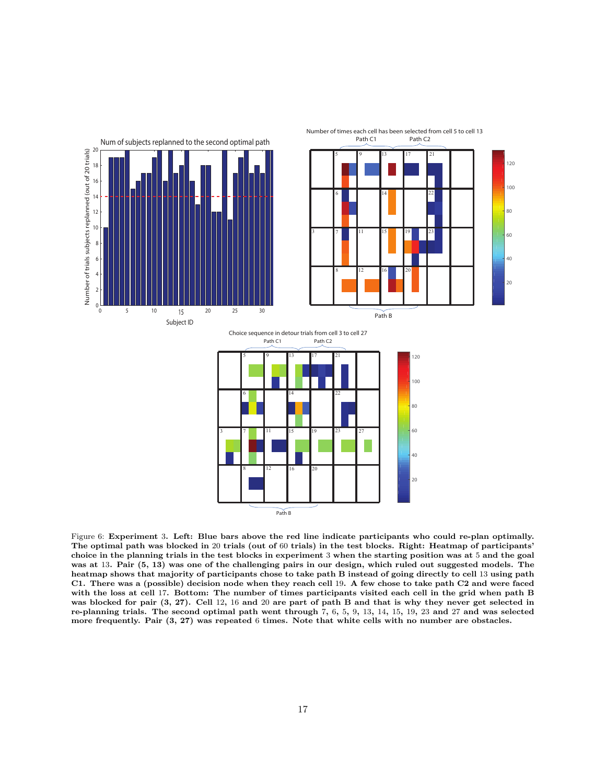<span id="page-16-0"></span>

Figure 6: Experiment 3. Left: Blue bars above the red line indicate participants who could re-plan optimally. The optimal path was blocked in 20 trials (out of 60 trials) in the test blocks. Right: Heatmap of participants' choice in the planning trials in the test blocks in experiment 3 when the starting position was at 5 and the goal was at 13. Pair (5, 13) was one of the challenging pairs in our design, which ruled out suggested models. The heatmap shows that majority of participants chose to take path B instead of going directly to cell 13 using path C1. There was a (possible) decision node when they reach cell 19. A few chose to take path C2 and were faced with the loss at cell 17. Bottom: The number of times participants visited each cell in the grid when path B was blocked for pair (3, 27). Cell 12, 16 and 20 are part of path B and that is why they never get selected in re-planning trials. The second optimal path went through 7, 6, 5, 9, 13, 14, 15, 19, 23 and 27 and was selected more frequently. Pair (3, 27) was repeated 6 times. Note that white cells with no number are obstacles.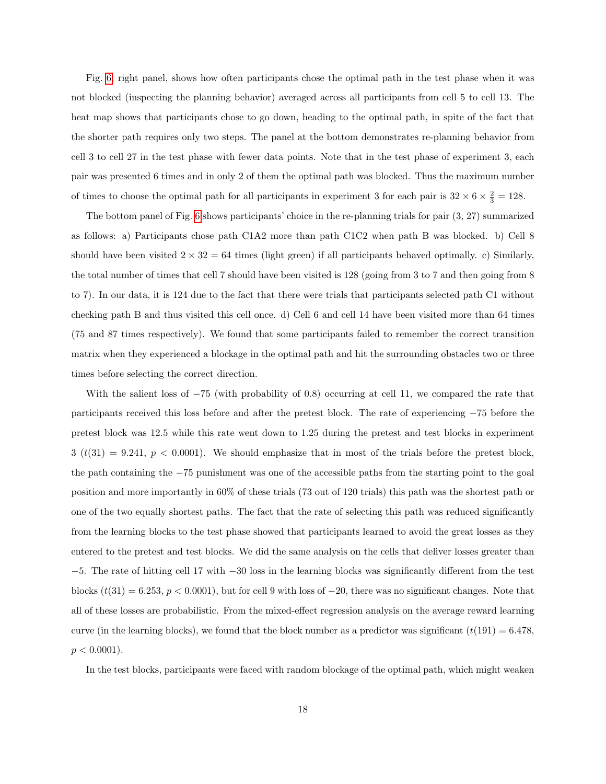Fig. [6,](#page-16-0) right panel, shows how often participants chose the optimal path in the test phase when it was not blocked (inspecting the planning behavior) averaged across all participants from cell 5 to cell 13. The heat map shows that participants chose to go down, heading to the optimal path, in spite of the fact that the shorter path requires only two steps. The panel at the bottom demonstrates re-planning behavior from cell 3 to cell 27 in the test phase with fewer data points. Note that in the test phase of experiment 3, each pair was presented 6 times and in only 2 of them the optimal path was blocked. Thus the maximum number of times to choose the optimal path for all participants in experiment 3 for each pair is  $32 \times 6 \times \frac{2}{3} = 128$ .

The bottom panel of Fig. [6](#page-16-0) shows participants' choice in the re-planning trials for pair (3, 27) summarized as follows: a) Participants chose path C1A2 more than path C1C2 when path B was blocked. b) Cell 8 should have been visited  $2 \times 32 = 64$  times (light green) if all participants behaved optimally. c) Similarly, the total number of times that cell 7 should have been visited is 128 (going from 3 to 7 and then going from 8 to 7). In our data, it is 124 due to the fact that there were trials that participants selected path C1 without checking path B and thus visited this cell once. d) Cell 6 and cell 14 have been visited more than 64 times (75 and 87 times respectively). We found that some participants failed to remember the correct transition matrix when they experienced a blockage in the optimal path and hit the surrounding obstacles two or three times before selecting the correct direction.

With the salient loss of −75 (with probability of 0.8) occurring at cell 11, we compared the rate that participants received this loss before and after the pretest block. The rate of experiencing −75 before the pretest block was 12.5 while this rate went down to 1.25 during the pretest and test blocks in experiment  $3 (t(31) = 9.241, p < 0.0001)$ . We should emphasize that in most of the trials before the pretest block, the path containing the −75 punishment was one of the accessible paths from the starting point to the goal position and more importantly in 60% of these trials (73 out of 120 trials) this path was the shortest path or one of the two equally shortest paths. The fact that the rate of selecting this path was reduced significantly from the learning blocks to the test phase showed that participants learned to avoid the great losses as they entered to the pretest and test blocks. We did the same analysis on the cells that deliver losses greater than −5. The rate of hitting cell 17 with −30 loss in the learning blocks was significantly different from the test blocks  $(t(31) = 6.253, p < 0.0001)$ , but for cell 9 with loss of  $-20$ , there was no significant changes. Note that all of these losses are probabilistic. From the mixed-effect regression analysis on the average reward learning curve (in the learning blocks), we found that the block number as a predictor was significant  $(t(191) = 6.478$ .  $p < 0.0001$ ).

In the test blocks, participants were faced with random blockage of the optimal path, which might weaken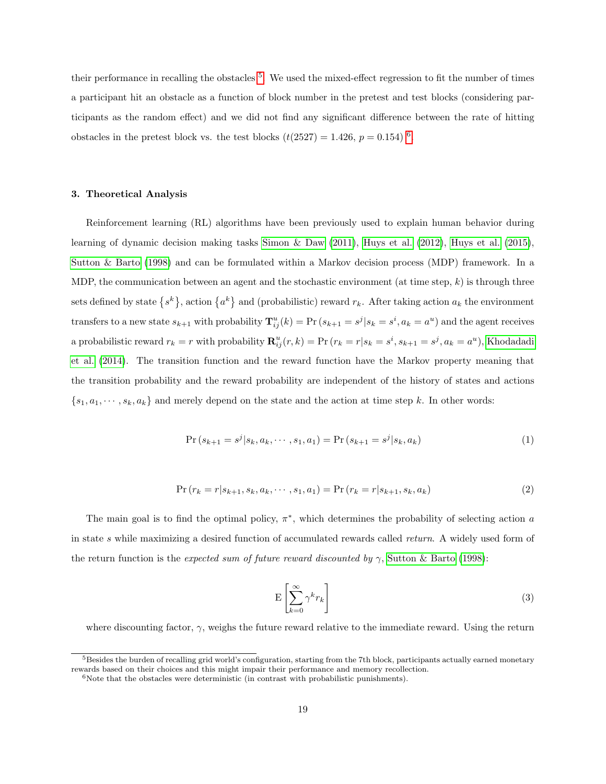their performance in recalling the obstacles <sup>[5](#page-18-0)</sup>. We used the mixed-effect regression to fit the number of times a participant hit an obstacle as a function of block number in the pretest and test blocks (considering participants as the random effect) and we did not find any significant difference between the rate of hitting obstacles in the pretest block vs. the test blocks  $(t(2527) = 1.426, p = 0.154)^{6}$  $(t(2527) = 1.426, p = 0.154)^{6}$  $(t(2527) = 1.426, p = 0.154)^{6}$ .

### 3. Theoretical Analysis

Reinforcement learning (RL) algorithms have been previously used to explain human behavior during learning of dynamic decision making tasks [Simon & Daw](#page-42-3) [\(2011\)](#page-42-3), [Huys et al.](#page-40-2) [\(2012\)](#page-40-2), [Huys et al.](#page-40-8) [\(2015\)](#page-40-8), [Sutton & Barto](#page-42-1) [\(1998\)](#page-42-1) and can be formulated within a Markov decision process (MDP) framework. In a MDP, the communication between an agent and the stochastic environment (at time step,  $k$ ) is through three sets defined by state  $\{s^k\}$ , action  $\{a^k\}$  and (probabilistic) reward  $r_k$ . After taking action  $a_k$  the environment transfers to a new state  $s_{k+1}$  with probability  $\mathbf{T}_{ij}^{u}(k) = \text{Pr}(s_{k+1} = s^{j}|s_{k} = s^{i}, a_{k} = a^{u})$  and the agent receives a probabilistic reward  $r_k = r$  with probability  $\mathbf{R}_{ij}^u(r, k) = \text{Pr}(r_k = r | s_k = s^i, s_{k+1} = s^j, a_k = a^u)$ , [Khodadadi](#page-41-3) [et al.](#page-41-3) [\(2014\)](#page-41-3). The transition function and the reward function have the Markov property meaning that the transition probability and the reward probability are independent of the history of states and actions  ${s_1, a_1, \dots, s_k, a_k}$  and merely depend on the state and the action at time step k. In other words:

$$
Pr(s_{k+1} = s^j | s_k, a_k, \cdots, s_1, a_1) = Pr(s_{k+1} = s^j | s_k, a_k)
$$
\n(1)

$$
Pr(r_k = r | s_{k+1}, s_k, a_k, \cdots, s_1, a_1) = Pr(r_k = r | s_{k+1}, s_k, a_k)
$$
\n(2)

The main goal is to find the optimal policy,  $\pi^*$ , which determines the probability of selecting action a in state s while maximizing a desired function of accumulated rewards called return. A widely used form of the return function is the expected sum of future reward discounted by  $\gamma$ , [Sutton & Barto](#page-42-1) [\(1998\)](#page-42-1):

<span id="page-18-2"></span>
$$
E\left[\sum_{k=0}^{\infty} \gamma^k r_k\right]
$$
\n(3)

where discounting factor,  $\gamma$ , weighs the future reward relative to the immediate reward. Using the return

<span id="page-18-0"></span><sup>&</sup>lt;sup>5</sup>Besides the burden of recalling grid world's configuration, starting from the 7th block, participants actually earned monetary rewards based on their choices and this might impair their performance and memory recollection.

<span id="page-18-1"></span> $6N$ ote that the obstacles were deterministic (in contrast with probabilistic punishments).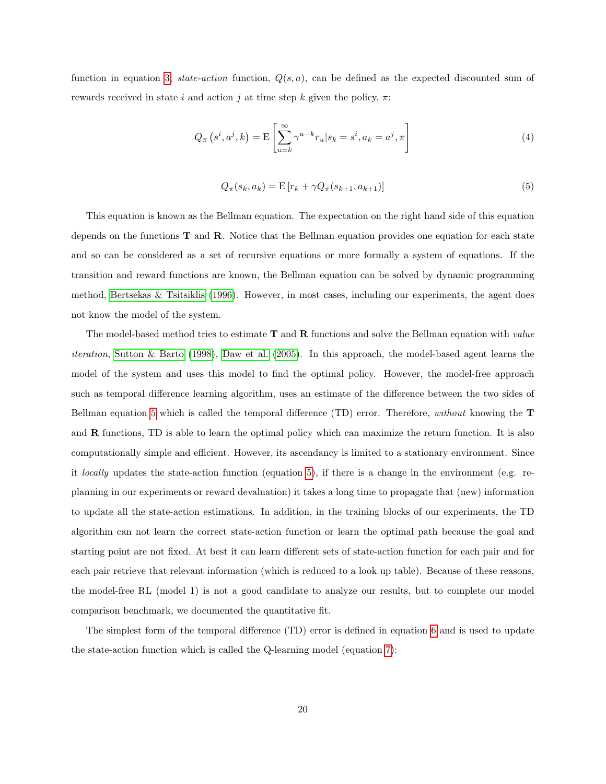function in equation [3,](#page-18-2) state-action function,  $Q(s, a)$ , can be defined as the expected discounted sum of rewards received in state i and action j at time step k given the policy,  $\pi$ :

$$
Q_{\pi}\left(s^{i}, a^{j}, k\right) = \mathcal{E}\left[\sum_{u=k}^{\infty} \gamma^{u-k} r_{u} | s_{k} = s^{i}, a_{k} = a^{j}, \pi\right]
$$
\n<sup>(4)</sup>

<span id="page-19-0"></span>
$$
Q_{\pi}(s_k, a_k) = \mathcal{E}\left[r_k + \gamma Q_{\pi}(s_{k+1}, a_{k+1})\right]
$$
\n(5)

This equation is known as the Bellman equation. The expectation on the right hand side of this equation depends on the functions  $T$  and  $R$ . Notice that the Bellman equation provides one equation for each state and so can be considered as a set of recursive equations or more formally a system of equations. If the transition and reward functions are known, the Bellman equation can be solved by dynamic programming method, [Bertsekas & Tsitsiklis](#page-38-3) [\(1996\)](#page-38-3). However, in most cases, including our experiments, the agent does not know the model of the system.

The model-based method tries to estimate  $T$  and  $R$  functions and solve the Bellman equation with *value* iteration, [Sutton & Barto](#page-42-1) [\(1998\)](#page-42-1), [Daw et al.](#page-38-4) [\(2005\)](#page-38-4). In this approach, the model-based agent learns the model of the system and uses this model to find the optimal policy. However, the model-free approach such as temporal difference learning algorithm, uses an estimate of the difference between the two sides of Bellman equation [5](#page-19-0) which is called the temporal difference (TD) error. Therefore, without knowing the T and  **functions, TD is able to learn the optimal policy which can maximize the return function. It is also** computationally simple and efficient. However, its ascendancy is limited to a stationary environment. Since it locally updates the state-action function (equation [5\)](#page-19-0), if there is a change in the environment (e.g. replanning in our experiments or reward devaluation) it takes a long time to propagate that (new) information to update all the state-action estimations. In addition, in the training blocks of our experiments, the TD algorithm can not learn the correct state-action function or learn the optimal path because the goal and starting point are not fixed. At best it can learn different sets of state-action function for each pair and for each pair retrieve that relevant information (which is reduced to a look up table). Because of these reasons, the model-free RL (model 1) is not a good candidate to analyze our results, but to complete our model comparison benchmark, we documented the quantitative fit.

The simplest form of the temporal difference (TD) error is defined in equation [6](#page-20-0) and is used to update the state-action function which is called the Q-learning model (equation [7\)](#page-20-1):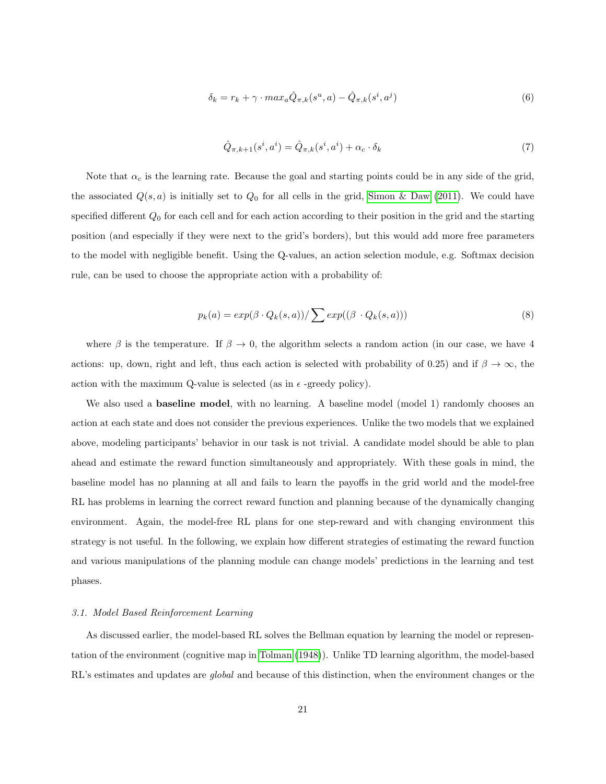<span id="page-20-0"></span>
$$
\delta_k = r_k + \gamma \cdot max_a \hat{Q}_{\pi,k}(s^u, a) - \hat{Q}_{\pi,k}(s^i, a^j) \tag{6}
$$

<span id="page-20-1"></span>
$$
\hat{Q}_{\pi,k+1}(s^i, a^i) = \hat{Q}_{\pi,k}(s^i, a^i) + \alpha_c \cdot \delta_k \tag{7}
$$

Note that  $\alpha_c$  is the learning rate. Because the goal and starting points could be in any side of the grid, the associated  $Q(s, a)$  is initially set to  $Q_0$  for all cells in the grid, [Simon & Daw](#page-42-3) [\(2011\)](#page-42-3). We could have specified different  $Q_0$  for each cell and for each action according to their position in the grid and the starting position (and especially if they were next to the grid's borders), but this would add more free parameters to the model with negligible benefit. Using the Q-values, an action selection module, e.g. Softmax decision rule, can be used to choose the appropriate action with a probability of:

<span id="page-20-2"></span>
$$
p_k(a) = exp(\beta \cdot Q_k(s, a)) / \sum exp((\beta \cdot Q_k(s, a)))
$$
\n(8)

where  $\beta$  is the temperature. If  $\beta \to 0$ , the algorithm selects a random action (in our case, we have 4 actions: up, down, right and left, thus each action is selected with probability of 0.25) and if  $\beta \to \infty$ , the action with the maximum Q-value is selected (as in  $\epsilon$  -greedy policy).

We also used a **baseline model**, with no learning. A baseline model (model 1) randomly chooses an action at each state and does not consider the previous experiences. Unlike the two models that we explained above, modeling participants' behavior in our task is not trivial. A candidate model should be able to plan ahead and estimate the reward function simultaneously and appropriately. With these goals in mind, the baseline model has no planning at all and fails to learn the payoffs in the grid world and the model-free RL has problems in learning the correct reward function and planning because of the dynamically changing environment. Again, the model-free RL plans for one step-reward and with changing environment this strategy is not useful. In the following, we explain how different strategies of estimating the reward function and various manipulations of the planning module can change models' predictions in the learning and test phases.

# 3.1. Model Based Reinforcement Learning

As discussed earlier, the model-based RL solves the Bellman equation by learning the model or representation of the environment (cognitive map in [Tolman](#page-42-2) [\(1948\)](#page-42-2)). Unlike TD learning algorithm, the model-based RL's estimates and updates are *global* and because of this distinction, when the environment changes or the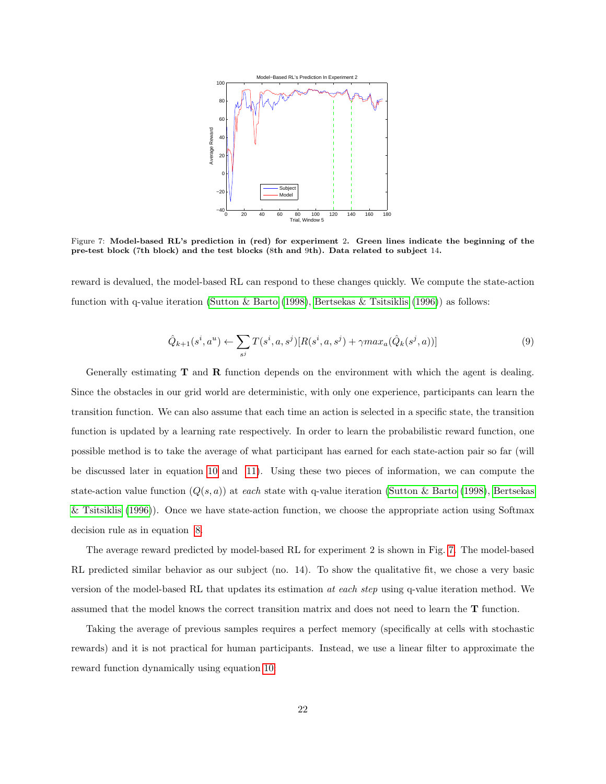<span id="page-21-0"></span>

Figure 7: Model-based RL's prediction in (red) for experiment 2. Green lines indicate the beginning of the pre-test block (7th block) and the test blocks (8th and 9th). Data related to subject 14.

reward is devalued, the model-based RL can respond to these changes quickly. We compute the state-action function with q-value iteration [\(Sutton & Barto](#page-42-1) [\(1998\)](#page-42-1), [Bertsekas & Tsitsiklis](#page-38-3) [\(1996\)](#page-38-3)) as follows:

$$
\hat{Q}_{k+1}(s^i, a^u) \leftarrow \sum_{s^j} T(s^i, a, s^j) [R(s^i, a, s^j) + \gamma max_a(\hat{Q}_k(s^j, a))]
$$
\n(9)

Generally estimating **T** and **R** function depends on the environment with which the agent is dealing. Since the obstacles in our grid world are deterministic, with only one experience, participants can learn the transition function. We can also assume that each time an action is selected in a specific state, the transition function is updated by a learning rate respectively. In order to learn the probabilistic reward function, one possible method is to take the average of what participant has earned for each state-action pair so far (will be discussed later in equation [10](#page-22-1) and [11\)](#page-22-2). Using these two pieces of information, we can compute the state-action value function  $(Q(s, a))$  at each state with q-value iteration [\(Sutton & Barto](#page-42-1) [\(1998\)](#page-42-1), [Bertsekas](#page-38-3) [& Tsitsiklis](#page-38-3) [\(1996\)](#page-38-3)). Once we have state-action function, we choose the appropriate action using Softmax decision rule as in equation [8.](#page-20-2)

The average reward predicted by model-based RL for experiment 2 is shown in Fig. [7.](#page-21-0) The model-based RL predicted similar behavior as our subject (no. 14). To show the qualitative fit, we chose a very basic version of the model-based RL that updates its estimation at each step using q-value iteration method. We assumed that the model knows the correct transition matrix and does not need to learn the T function.

Taking the average of previous samples requires a perfect memory (specifically at cells with stochastic rewards) and it is not practical for human participants. Instead, we use a linear filter to approximate the reward function dynamically using equation [10:](#page-22-1)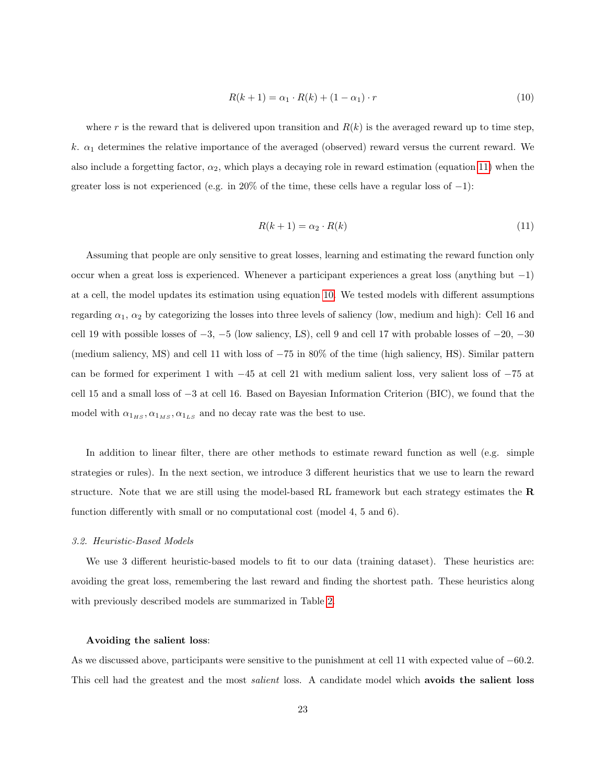<span id="page-22-1"></span>
$$
R(k+1) = \alpha_1 \cdot R(k) + (1 - \alpha_1) \cdot r \tag{10}
$$

where r is the reward that is delivered upon transition and  $R(k)$  is the averaged reward up to time step, k.  $\alpha_1$  determines the relative importance of the averaged (observed) reward versus the current reward. We also include a forgetting factor,  $\alpha_2$ , which plays a decaying role in reward estimation (equation [11\)](#page-22-2) when the greater loss is not experienced (e.g. in 20% of the time, these cells have a regular loss of  $-1$ ):

<span id="page-22-2"></span>
$$
R(k+1) = \alpha_2 \cdot R(k) \tag{11}
$$

Assuming that people are only sensitive to great losses, learning and estimating the reward function only occur when a great loss is experienced. Whenever a participant experiences a great loss (anything but −1) at a cell, the model updates its estimation using equation [10.](#page-22-1) We tested models with different assumptions regarding  $\alpha_1$ ,  $\alpha_2$  by categorizing the losses into three levels of saliency (low, medium and high): Cell 16 and cell 19 with possible losses of −3, −5 (low saliency, LS), cell 9 and cell 17 with probable losses of −20, −30 (medium saliency, MS) and cell 11 with loss of −75 in 80% of the time (high saliency, HS). Similar pattern can be formed for experiment 1 with −45 at cell 21 with medium salient loss, very salient loss of −75 at cell 15 and a small loss of −3 at cell 16. Based on Bayesian Information Criterion (BIC), we found that the model with  $\alpha_{1_{HS}}, \alpha_{1_{MS}}, \alpha_{1_{LS}}$  and no decay rate was the best to use.

In addition to linear filter, there are other methods to estimate reward function as well (e.g. simple strategies or rules). In the next section, we introduce 3 different heuristics that we use to learn the reward structure. Note that we are still using the model-based RL framework but each strategy estimates the R function differently with small or no computational cost (model 4, 5 and 6).

#### <span id="page-22-0"></span>3.2. Heuristic-Based Models

We use 3 different heuristic-based models to fit to our data (training dataset). These heuristics are: avoiding the great loss, remembering the last reward and finding the shortest path. These heuristics along with previously described models are summarized in Table [2.](#page-23-0)

### Avoiding the salient loss:

As we discussed above, participants were sensitive to the punishment at cell 11 with expected value of −60.2. This cell had the greatest and the most *salient* loss. A candidate model which **avoids the salient loss**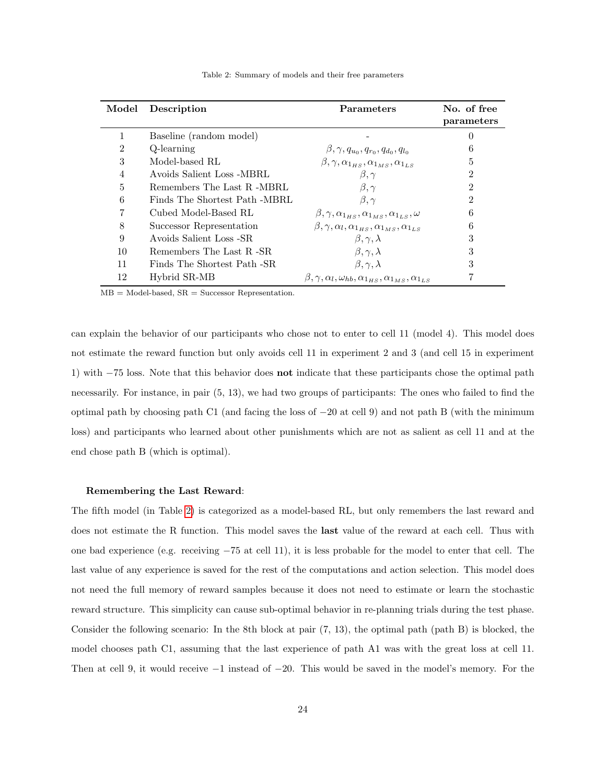<span id="page-23-0"></span>

| Model | Description                   | <b>Parameters</b>                                                                                     | No. of free    |
|-------|-------------------------------|-------------------------------------------------------------------------------------------------------|----------------|
|       |                               |                                                                                                       | parameters     |
|       | Baseline (random model)       |                                                                                                       | 0              |
| 2     | Q-learning                    | $\beta, \gamma, q_{u_0}, q_{r_0}, q_{d_0}, q_{l_0}$                                                   | 6              |
| 3     | Model-based RL                | $\beta, \gamma, \alpha_{1_Hs}, \alpha_{1_Ms}, \alpha_{1s}$                                            | 5              |
| 4     | Avoids Salient Loss -MBRL     | $\beta, \gamma$                                                                                       | $\overline{2}$ |
| 5     | Remembers The Last R -MBRL    | $\beta, \gamma$                                                                                       | $\overline{2}$ |
| 6     | Finds The Shortest Path -MBRL | $\beta, \gamma$                                                                                       | $\mathfrak{D}$ |
|       | Cubed Model-Based RL          | $\beta, \gamma, \alpha_{1_{HS}}, \alpha_{1_{MS}}, \alpha_{1_{LS}}, \omega$                            | 6              |
| 8     | Successor Representation      | $\beta, \gamma, \alpha_l, \alpha_{1_{HS}}, \alpha_{1_{MS}}, \alpha_{1_{LS}}$                          | 6              |
| 9     | Avoids Salient Loss -SR       | $\beta, \gamma, \lambda$                                                                              | 3              |
| 10    | Remembers The Last R -SR      | $\beta, \gamma, \lambda$                                                                              | 3              |
| 11    | Finds The Shortest Path -SR   | $\beta, \gamma, \lambda$                                                                              | 3              |
| 12    | Hybrid SR-MB                  | $\beta$ , $\gamma$ , $\alpha_l$ , $\omega_{hb}$ , $\alpha_{1_{HS}}, \alpha_{1_{MS}}, \alpha_{1_{LS}}$ |                |

Table 2: Summary of models and their free parameters

 $MB = Model-based$ ,  $SR = Successor Representation$ .

can explain the behavior of our participants who chose not to enter to cell 11 (model 4). This model does not estimate the reward function but only avoids cell 11 in experiment 2 and 3 (and cell 15 in experiment 1) with −75 loss. Note that this behavior does not indicate that these participants chose the optimal path necessarily. For instance, in pair (5, 13), we had two groups of participants: The ones who failed to find the optimal path by choosing path C1 (and facing the loss of −20 at cell 9) and not path B (with the minimum loss) and participants who learned about other punishments which are not as salient as cell 11 and at the end chose path B (which is optimal).

#### Remembering the Last Reward:

The fifth model (in Table [2\)](#page-23-0) is categorized as a model-based RL, but only remembers the last reward and does not estimate the R function. This model saves the last value of the reward at each cell. Thus with one bad experience (e.g. receiving −75 at cell 11), it is less probable for the model to enter that cell. The last value of any experience is saved for the rest of the computations and action selection. This model does not need the full memory of reward samples because it does not need to estimate or learn the stochastic reward structure. This simplicity can cause sub-optimal behavior in re-planning trials during the test phase. Consider the following scenario: In the 8th block at pair (7, 13), the optimal path (path B) is blocked, the model chooses path C1, assuming that the last experience of path A1 was with the great loss at cell 11. Then at cell 9, it would receive −1 instead of −20. This would be saved in the model's memory. For the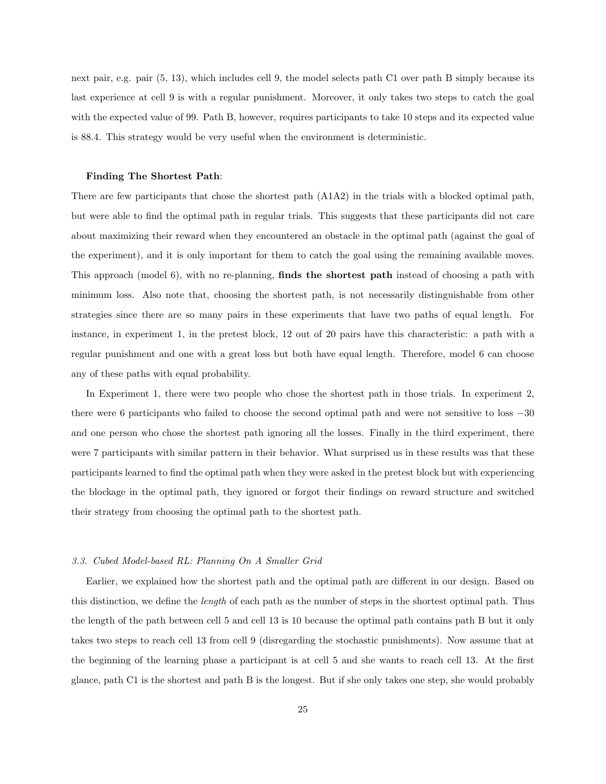next pair, e.g. pair (5, 13), which includes cell 9, the model selects path C1 over path B simply because its last experience at cell 9 is with a regular punishment. Moreover, it only takes two steps to catch the goal with the expected value of 99. Path B, however, requires participants to take 10 steps and its expected value is 88.4. This strategy would be very useful when the environment is deterministic.

#### Finding The Shortest Path:

There are few participants that chose the shortest path (A1A2) in the trials with a blocked optimal path, but were able to find the optimal path in regular trials. This suggests that these participants did not care about maximizing their reward when they encountered an obstacle in the optimal path (against the goal of the experiment), and it is only important for them to catch the goal using the remaining available moves. This approach (model 6), with no re-planning, finds the shortest path instead of choosing a path with minimum loss. Also note that, choosing the shortest path, is not necessarily distinguishable from other strategies since there are so many pairs in these experiments that have two paths of equal length. For instance, in experiment 1, in the pretest block, 12 out of 20 pairs have this characteristic: a path with a regular punishment and one with a great loss but both have equal length. Therefore, model 6 can choose any of these paths with equal probability.

In Experiment 1, there were two people who chose the shortest path in those trials. In experiment 2, there were 6 participants who failed to choose the second optimal path and were not sensitive to loss −30 and one person who chose the shortest path ignoring all the losses. Finally in the third experiment, there were 7 participants with similar pattern in their behavior. What surprised us in these results was that these participants learned to find the optimal path when they were asked in the pretest block but with experiencing the blockage in the optimal path, they ignored or forgot their findings on reward structure and switched their strategy from choosing the optimal path to the shortest path.

#### 3.3. Cubed Model-based RL: Planning On A Smaller Grid

Earlier, we explained how the shortest path and the optimal path are different in our design. Based on this distinction, we define the length of each path as the number of steps in the shortest optimal path. Thus the length of the path between cell 5 and cell 13 is 10 because the optimal path contains path B but it only takes two steps to reach cell 13 from cell 9 (disregarding the stochastic punishments). Now assume that at the beginning of the learning phase a participant is at cell 5 and she wants to reach cell 13. At the first glance, path C1 is the shortest and path B is the longest. But if she only takes one step, she would probably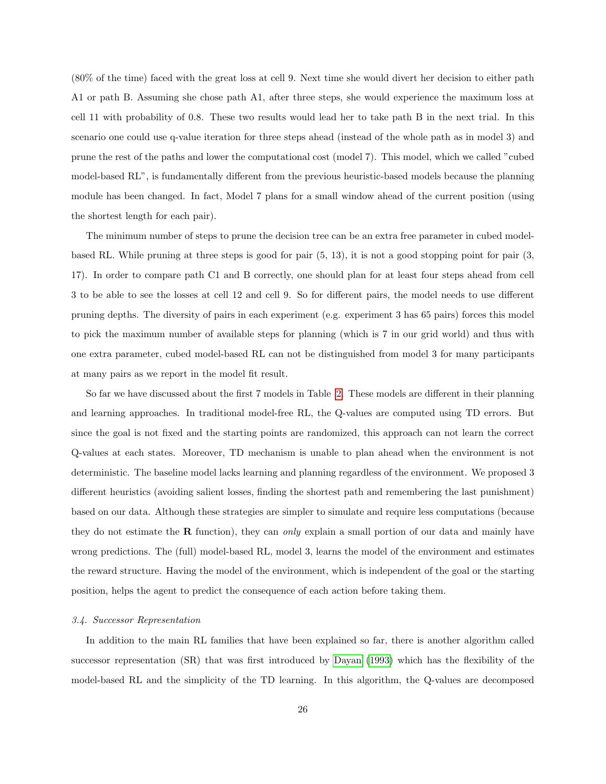(80% of the time) faced with the great loss at cell 9. Next time she would divert her decision to either path A1 or path B. Assuming she chose path A1, after three steps, she would experience the maximum loss at cell 11 with probability of 0.8. These two results would lead her to take path B in the next trial. In this scenario one could use q-value iteration for three steps ahead (instead of the whole path as in model 3) and prune the rest of the paths and lower the computational cost (model 7). This model, which we called "cubed model-based RL", is fundamentally different from the previous heuristic-based models because the planning module has been changed. In fact, Model 7 plans for a small window ahead of the current position (using the shortest length for each pair).

The minimum number of steps to prune the decision tree can be an extra free parameter in cubed modelbased RL. While pruning at three steps is good for pair (5, 13), it is not a good stopping point for pair (3, 17). In order to compare path C1 and B correctly, one should plan for at least four steps ahead from cell 3 to be able to see the losses at cell 12 and cell 9. So for different pairs, the model needs to use different pruning depths. The diversity of pairs in each experiment (e.g. experiment 3 has 65 pairs) forces this model to pick the maximum number of available steps for planning (which is 7 in our grid world) and thus with one extra parameter, cubed model-based RL can not be distinguished from model 3 for many participants at many pairs as we report in the model fit result.

So far we have discussed about the first 7 models in Table [2.](#page-23-0) These models are different in their planning and learning approaches. In traditional model-free RL, the Q-values are computed using TD errors. But since the goal is not fixed and the starting points are randomized, this approach can not learn the correct Q-values at each states. Moreover, TD mechanism is unable to plan ahead when the environment is not deterministic. The baseline model lacks learning and planning regardless of the environment. We proposed 3 different heuristics (avoiding salient losses, finding the shortest path and remembering the last punishment) based on our data. Although these strategies are simpler to simulate and require less computations (because they do not estimate the **R** function), they can only explain a small portion of our data and mainly have wrong predictions. The (full) model-based RL, model 3, learns the model of the environment and estimates the reward structure. Having the model of the environment, which is independent of the goal or the starting position, helps the agent to predict the consequence of each action before taking them.

### 3.4. Successor Representation

In addition to the main RL families that have been explained so far, there is another algorithm called successor representation (SR) that was first introduced by [Dayan](#page-38-5) [\(1993\)](#page-38-5) which has the flexibility of the model-based RL and the simplicity of the TD learning. In this algorithm, the Q-values are decomposed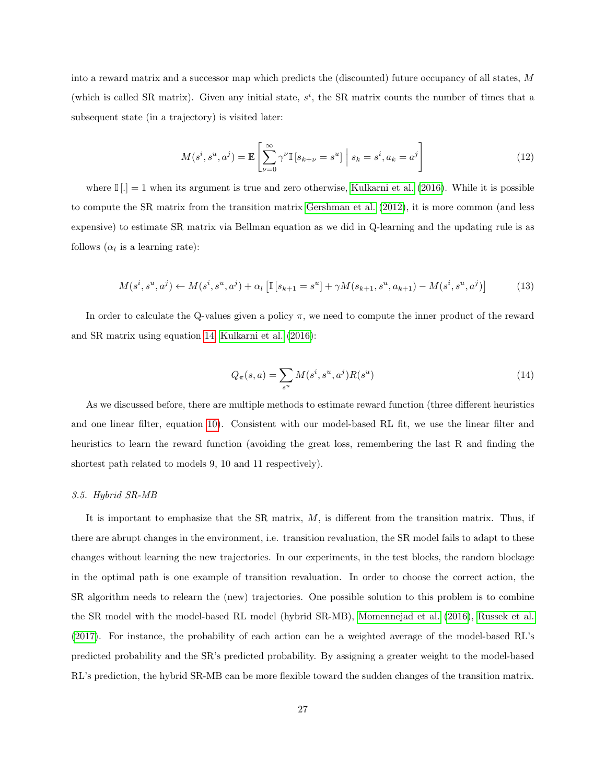into a reward matrix and a successor map which predicts the (discounted) future occupancy of all states, M (which is called SR matrix). Given any initial state,  $s^i$ , the SR matrix counts the number of times that a subsequent state (in a trajectory) is visited later:

$$
M(s^i, s^u, a^j) = \mathbb{E}\left[\sum_{\nu=0}^{\infty} \gamma^{\nu} \mathbb{I}\left[s_{k+\nu} = s^u\right] \Big| s_k = s^i, a_k = a^j\right]
$$
(12)

where  $\mathbb{I}[\cdot] = 1$  when its argument is true and zero otherwise, [Kulkarni et al.](#page-41-4) [\(2016\)](#page-41-4). While it is possible to compute the SR matrix from the transition matrix [Gershman et al.](#page-40-9) [\(2012\)](#page-40-9), it is more common (and less expensive) to estimate SR matrix via Bellman equation as we did in Q-learning and the updating rule is as follows  $(\alpha_l$  is a learning rate):

$$
M(s^i, s^u, a^j) \leftarrow M(s^i, s^u, a^j) + \alpha_l \left[ \mathbb{I}[s_{k+1} = s^u] + \gamma M(s_{k+1}, s^u, a_{k+1}) - M(s^i, s^u, a^j) \right] \tag{13}
$$

In order to calculate the Q-values given a policy  $\pi$ , we need to compute the inner product of the reward and SR matrix using equation [14,](#page-26-0) [Kulkarni et al.](#page-41-4) [\(2016\)](#page-41-4):

<span id="page-26-0"></span>
$$
Q_{\pi}(s, a) = \sum_{s^{u}} M(s^{i}, s^{u}, a^{j}) R(s^{u})
$$
\n(14)

As we discussed before, there are multiple methods to estimate reward function (three different heuristics and one linear filter, equation [10\)](#page-22-1). Consistent with our model-based RL fit, we use the linear filter and heuristics to learn the reward function (avoiding the great loss, remembering the last R and finding the shortest path related to models 9, 10 and 11 respectively).

### 3.5. Hybrid SR-MB

It is important to emphasize that the SR matrix,  $M$ , is different from the transition matrix. Thus, if there are abrupt changes in the environment, i.e. transition revaluation, the SR model fails to adapt to these changes without learning the new trajectories. In our experiments, in the test blocks, the random blockage in the optimal path is one example of transition revaluation. In order to choose the correct action, the SR algorithm needs to relearn the (new) trajectories. One possible solution to this problem is to combine the SR model with the model-based RL model (hybrid SR-MB), [Momennejad et al.](#page-41-0) [\(2016\)](#page-41-0), [Russek et al.](#page-41-5) [\(2017\)](#page-41-5). For instance, the probability of each action can be a weighted average of the model-based RL's predicted probability and the SR's predicted probability. By assigning a greater weight to the model-based RL's prediction, the hybrid SR-MB can be more flexible toward the sudden changes of the transition matrix.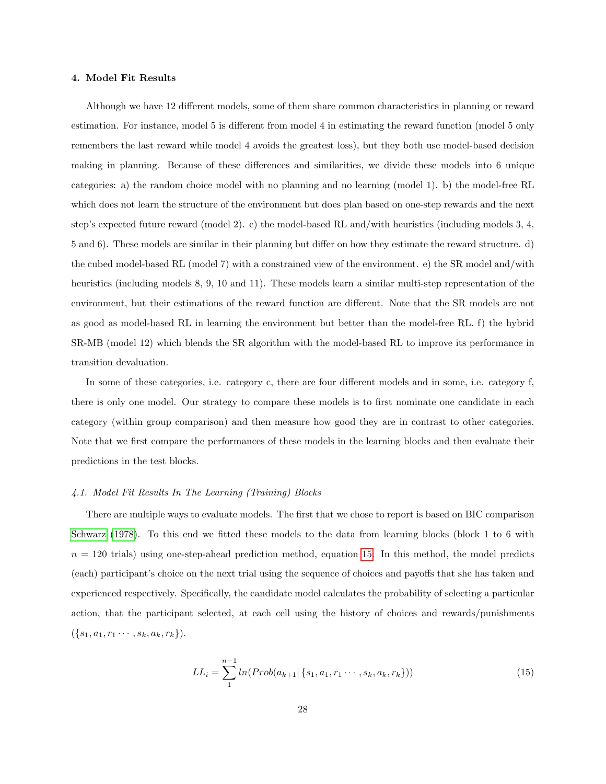#### 4. Model Fit Results

Although we have 12 different models, some of them share common characteristics in planning or reward estimation. For instance, model 5 is different from model 4 in estimating the reward function (model 5 only remembers the last reward while model 4 avoids the greatest loss), but they both use model-based decision making in planning. Because of these differences and similarities, we divide these models into 6 unique categories: a) the random choice model with no planning and no learning (model 1). b) the model-free RL which does not learn the structure of the environment but does plan based on one-step rewards and the next step's expected future reward (model 2). c) the model-based RL and/with heuristics (including models 3, 4, 5 and 6). These models are similar in their planning but differ on how they estimate the reward structure. d) the cubed model-based RL (model 7) with a constrained view of the environment. e) the SR model and/with heuristics (including models 8, 9, 10 and 11). These models learn a similar multi-step representation of the environment, but their estimations of the reward function are different. Note that the SR models are not as good as model-based RL in learning the environment but better than the model-free RL. f) the hybrid SR-MB (model 12) which blends the SR algorithm with the model-based RL to improve its performance in transition devaluation.

In some of these categories, i.e. category c, there are four different models and in some, i.e. category f, there is only one model. Our strategy to compare these models is to first nominate one candidate in each category (within group comparison) and then measure how good they are in contrast to other categories. Note that we first compare the performances of these models in the learning blocks and then evaluate their predictions in the test blocks.

#### <span id="page-27-0"></span>4.1. Model Fit Results In The Learning (Training) Blocks

There are multiple ways to evaluate models. The first that we chose to report is based on BIC comparison [Schwarz](#page-42-4) [\(1978\)](#page-42-4). To this end we fitted these models to the data from learning blocks (block 1 to 6 with  $n = 120$  trials) using one-step-ahead prediction method, equation [15.](#page-27-1) In this method, the model predicts (each) participant's choice on the next trial using the sequence of choices and payoffs that she has taken and experienced respectively. Specifically, the candidate model calculates the probability of selecting a particular action, that the participant selected, at each cell using the history of choices and rewards/punishments  $({s_1, a_1, r_1 \cdots, s_k, a_k, r_k}).$ 

<span id="page-27-1"></span>
$$
LL_i = \sum_{1}^{n-1} ln(Prob(a_{k+1} | \{s_1, a_1, r_1 \cdots, s_k, a_k, r_k\}))
$$
\n(15)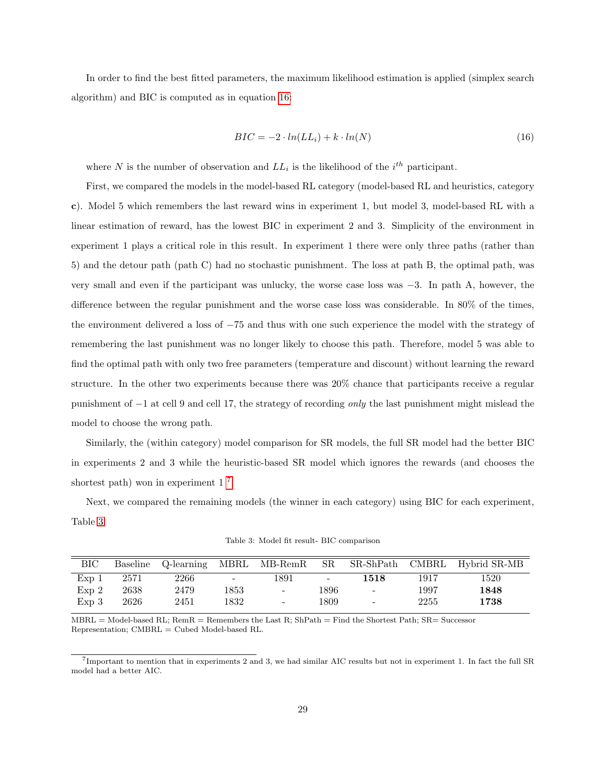In order to find the best fitted parameters, the maximum likelihood estimation is applied (simplex search algorithm) and BIC is computed as in equation [16:](#page-28-0)

<span id="page-28-0"></span>
$$
BIC = -2 \cdot ln(L_{i}) + k \cdot ln(N) \tag{16}
$$

where N is the number of observation and  $LL_i$  is the likelihood of the  $i^{th}$  participant.

First, we compared the models in the model-based RL category (model-based RL and heuristics, category c). Model 5 which remembers the last reward wins in experiment 1, but model 3, model-based RL with a linear estimation of reward, has the lowest BIC in experiment 2 and 3. Simplicity of the environment in experiment 1 plays a critical role in this result. In experiment 1 there were only three paths (rather than 5) and the detour path (path C) had no stochastic punishment. The loss at path B, the optimal path, was very small and even if the participant was unlucky, the worse case loss was −3. In path A, however, the difference between the regular punishment and the worse case loss was considerable. In 80% of the times, the environment delivered a loss of −75 and thus with one such experience the model with the strategy of remembering the last punishment was no longer likely to choose this path. Therefore, model 5 was able to find the optimal path with only two free parameters (temperature and discount) without learning the reward structure. In the other two experiments because there was 20% chance that participants receive a regular punishment of −1 at cell 9 and cell 17, the strategy of recording only the last punishment might mislead the model to choose the wrong path.

Similarly, the (within category) model comparison for SR models, the full SR model had the better BIC in experiments 2 and 3 while the heuristic-based SR model which ignores the rewards (and chooses the shortest path) won in experiment  $1^7$  $1^7$ .

Next, we compared the remaining models (the winner in each category) using BIC for each experiment, Table [3.](#page-28-2)

<span id="page-28-2"></span>

| <b>BIC</b>       |      | Baseline Q-learning | MBRL                     | $MB$ -Rem $R$            | SR.                      | SR-ShPath CMBRL          |      | Hybrid SR-MB |
|------------------|------|---------------------|--------------------------|--------------------------|--------------------------|--------------------------|------|--------------|
| $Exp_1$          | 2571 | 2266                | $\overline{\phantom{a}}$ | 1891                     | $\overline{\phantom{a}}$ | 1518                     | 1917 | 1520         |
| Exp <sub>2</sub> | 2638 | 2479                | 1853                     | $\overline{\phantom{a}}$ | 1896                     | $\overline{\phantom{a}}$ | 1997 | 1848         |
| $Exp_3$          | 2626 | 2451                | 1832                     | -                        | 1809                     | $\sim$                   | 2255 | $1738\,$     |

Table 3: Model fit result- BIC comparison

 $MBRL = Model-based RL$ ;  $RemR = Remembers$  the Last R;  $ShPath = Find$  the Shortest Path;  $SR = Successor$ Representation; CMBRL = Cubed Model-based RL.

<span id="page-28-1"></span>7 Important to mention that in experiments 2 and 3, we had similar AIC results but not in experiment 1. In fact the full SR model had a better AIC.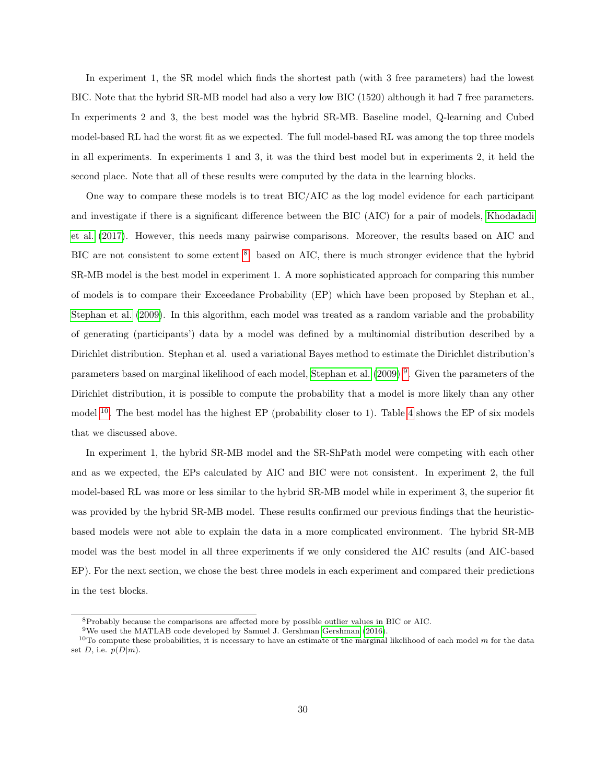In experiment 1, the SR model which finds the shortest path (with 3 free parameters) had the lowest BIC. Note that the hybrid SR-MB model had also a very low BIC (1520) although it had 7 free parameters. In experiments 2 and 3, the best model was the hybrid SR-MB. Baseline model, Q-learning and Cubed model-based RL had the worst fit as we expected. The full model-based RL was among the top three models in all experiments. In experiments 1 and 3, it was the third best model but in experiments 2, it held the second place. Note that all of these results were computed by the data in the learning blocks.

One way to compare these models is to treat BIC/AIC as the log model evidence for each participant and investigate if there is a significant difference between the BIC (AIC) for a pair of models, [Khodadadi](#page-41-6) [et al.](#page-41-6) [\(2017\)](#page-41-6). However, this needs many pairwise comparisons. Moreover, the results based on AIC and BIC are not consistent to some extent <sup>[8](#page-29-0)</sup>: based on AIC, there is much stronger evidence that the hybrid SR-MB model is the best model in experiment 1. A more sophisticated approach for comparing this number of models is to compare their Exceedance Probability (EP) which have been proposed by Stephan et al., [Stephan et al.](#page-42-5) [\(2009\)](#page-42-5). In this algorithm, each model was treated as a random variable and the probability of generating (participants') data by a model was defined by a multinomial distribution described by a Dirichlet distribution. Stephan et al. used a variational Bayes method to estimate the Dirichlet distribution's parameters based on marginal likelihood of each model, [Stephan et al.](#page-42-5) [\(2009\)](#page-42-5)<sup>[9](#page-29-1)</sup>. Given the parameters of the Dirichlet distribution, it is possible to compute the probability that a model is more likely than any other model  $10$ . The best model has the highest EP (probability closer to 1). Table [4](#page-30-0) shows the EP of six models that we discussed above.

In experiment 1, the hybrid SR-MB model and the SR-ShPath model were competing with each other and as we expected, the EPs calculated by AIC and BIC were not consistent. In experiment 2, the full model-based RL was more or less similar to the hybrid SR-MB model while in experiment 3, the superior fit was provided by the hybrid SR-MB model. These results confirmed our previous findings that the heuristicbased models were not able to explain the data in a more complicated environment. The hybrid SR-MB model was the best model in all three experiments if we only considered the AIC results (and AIC-based EP). For the next section, we chose the best three models in each experiment and compared their predictions in the test blocks.

<span id="page-29-0"></span><sup>8</sup>Probably because the comparisons are affected more by possible outlier values in BIC or AIC.

<span id="page-29-2"></span><span id="page-29-1"></span><sup>9</sup>We used the MATLAB code developed by Samuel J. Gershman [Gershman](#page-39-2) [\(2016\)](#page-39-2).

<sup>&</sup>lt;sup>10</sup>To compute these probabilities, it is necessary to have an estimate of the marginal likelihood of each model m for the data set D, i.e.  $p(D|m)$ .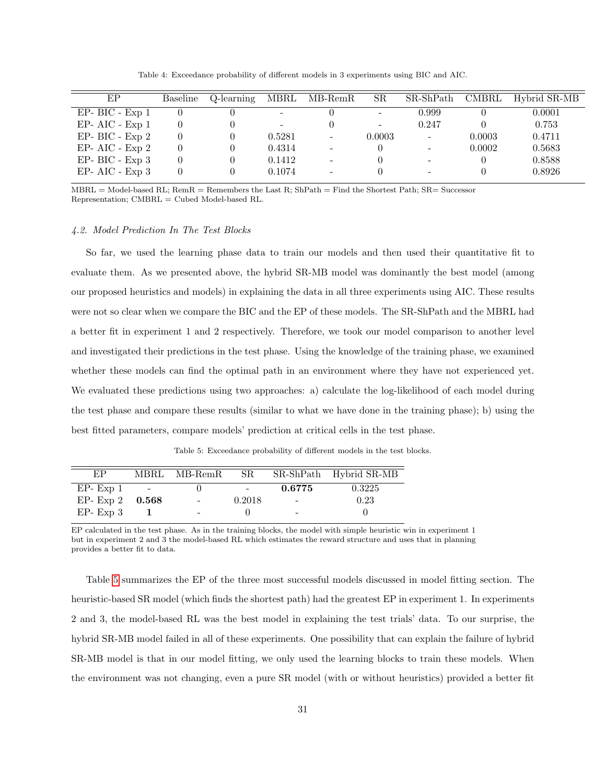Table 4: Exceedance probability of different models in 3 experiments using BIC and AIC.

<span id="page-30-0"></span>

| EP                  | Baseline | Q-learning | MBRL                         | $MB$ -RemR               | SR.                      | SR-ShPath                | CMBRL  | Hybrid SR-MB |
|---------------------|----------|------------|------------------------------|--------------------------|--------------------------|--------------------------|--------|--------------|
| $EP- BIC - Exp 1$   |          |            | $\overline{\phantom{0}}$     |                          | $\overline{\phantom{0}}$ | 0.999                    |        | 0.0001       |
| $EP- AIC - Exp 1$   | 0        |            | $\qquad \qquad \blacksquare$ |                          | -                        | 0.247                    |        | 0.753        |
| $EP- BIC - Exp 2$   | 0        |            | 0.5281                       | $\overline{\phantom{a}}$ | 0.0003                   | $\overline{\phantom{a}}$ | 0.0003 | 0.4711       |
| $EP- AIC - Exp 2$   | 0        |            | 0.4314                       |                          |                          | $\overline{\phantom{a}}$ | 0.0002 | 0.5683       |
| $EP- BIC - Exp 3$   | 0        |            | 0.1412                       |                          |                          | $\overline{\phantom{a}}$ |        | 0.8588       |
| $EP- AIC$ - $Exp 3$ | 0        |            | 0.1074                       |                          |                          | $\overline{\phantom{a}}$ |        | 0.8926       |

 $MBRL = Model-based RL$ ;  $RemR = Remembers$  the Last R;  $ShPath = Find$  the Shortest Path;  $SR = Successor$ Representation; CMBRL = Cubed Model-based RL.

### 4.2. Model Prediction In The Test Blocks

So far, we used the learning phase data to train our models and then used their quantitative fit to evaluate them. As we presented above, the hybrid SR-MB model was dominantly the best model (among our proposed heuristics and models) in explaining the data in all three experiments using AIC. These results were not so clear when we compare the BIC and the EP of these models. The SR-ShPath and the MBRL had a better fit in experiment 1 and 2 respectively. Therefore, we took our model comparison to another level and investigated their predictions in the test phase. Using the knowledge of the training phase, we examined whether these models can find the optimal path in an environment where they have not experienced yet. We evaluated these predictions using two approaches: a) calculate the log-likelihood of each model during the test phase and compare these results (similar to what we have done in the training phase); b) using the best fitted parameters, compare models' prediction at critical cells in the test phase.

Table 5: Exceedance probability of different models in the test blocks.

<span id="page-30-1"></span>

| EP.              |                          | MBRL MB-RemR | SR.    |        | SR-ShPath Hybrid SR-MB |
|------------------|--------------------------|--------------|--------|--------|------------------------|
| $EP- Exp 1$      | <b>Contract Contract</b> |              |        | 0.6775 | 0.3225                 |
| EP-Exp 2 $0.568$ |                          | $\sim$       | 0.2018 | $\sim$ | 0.23                   |
| $EP- Exp 3$      |                          |              |        |        |                        |

EP calculated in the test phase. As in the training blocks, the model with simple heuristic win in experiment 1 but in experiment 2 and 3 the model-based RL which estimates the reward structure and uses that in planning provides a better fit to data.

Table [5](#page-30-1) summarizes the EP of the three most successful models discussed in model fitting section. The heuristic-based SR model (which finds the shortest path) had the greatest EP in experiment 1. In experiments 2 and 3, the model-based RL was the best model in explaining the test trials' data. To our surprise, the hybrid SR-MB model failed in all of these experiments. One possibility that can explain the failure of hybrid SR-MB model is that in our model fitting, we only used the learning blocks to train these models. When the environment was not changing, even a pure SR model (with or without heuristics) provided a better fit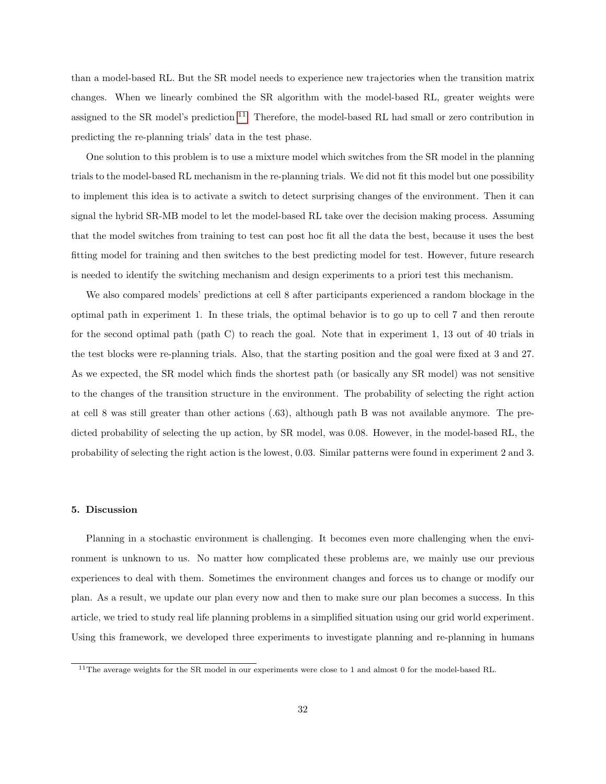than a model-based RL. But the SR model needs to experience new trajectories when the transition matrix changes. When we linearly combined the SR algorithm with the model-based RL, greater weights were assigned to the SR model's prediction  $^{11}$  $^{11}$  $^{11}$ . Therefore, the model-based RL had small or zero contribution in predicting the re-planning trials' data in the test phase.

One solution to this problem is to use a mixture model which switches from the SR model in the planning trials to the model-based RL mechanism in the re-planning trials. We did not fit this model but one possibility to implement this idea is to activate a switch to detect surprising changes of the environment. Then it can signal the hybrid SR-MB model to let the model-based RL take over the decision making process. Assuming that the model switches from training to test can post hoc fit all the data the best, because it uses the best fitting model for training and then switches to the best predicting model for test. However, future research is needed to identify the switching mechanism and design experiments to a priori test this mechanism.

We also compared models' predictions at cell 8 after participants experienced a random blockage in the optimal path in experiment 1. In these trials, the optimal behavior is to go up to cell 7 and then reroute for the second optimal path (path C) to reach the goal. Note that in experiment 1, 13 out of 40 trials in the test blocks were re-planning trials. Also, that the starting position and the goal were fixed at 3 and 27. As we expected, the SR model which finds the shortest path (or basically any SR model) was not sensitive to the changes of the transition structure in the environment. The probability of selecting the right action at cell 8 was still greater than other actions (.63), although path B was not available anymore. The predicted probability of selecting the up action, by SR model, was 0.08. However, in the model-based RL, the probability of selecting the right action is the lowest, 0.03. Similar patterns were found in experiment 2 and 3.

### 5. Discussion

Planning in a stochastic environment is challenging. It becomes even more challenging when the environment is unknown to us. No matter how complicated these problems are, we mainly use our previous experiences to deal with them. Sometimes the environment changes and forces us to change or modify our plan. As a result, we update our plan every now and then to make sure our plan becomes a success. In this article, we tried to study real life planning problems in a simplified situation using our grid world experiment. Using this framework, we developed three experiments to investigate planning and re-planning in humans

<span id="page-31-0"></span><sup>&</sup>lt;sup>11</sup>The average weights for the SR model in our experiments were close to 1 and almost 0 for the model-based RL.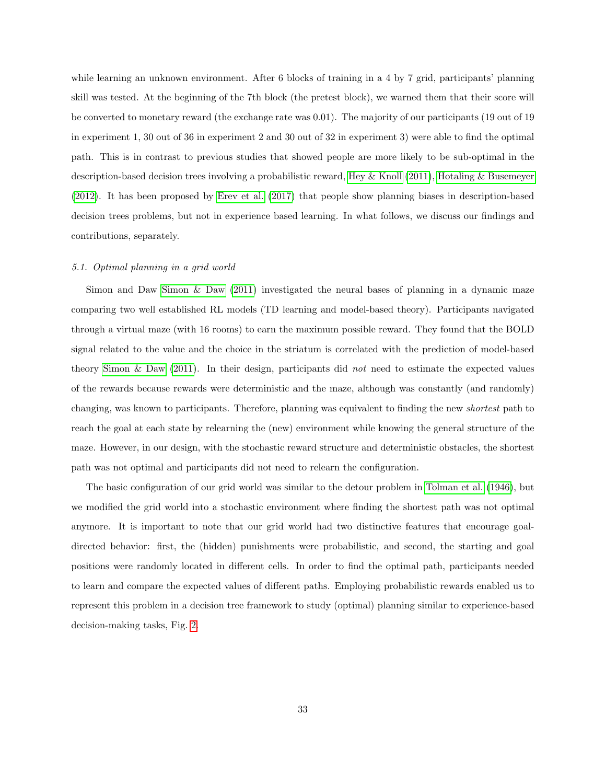while learning an unknown environment. After 6 blocks of training in a 4 by 7 grid, participants' planning skill was tested. At the beginning of the 7th block (the pretest block), we warned them that their score will be converted to monetary reward (the exchange rate was 0.01). The majority of our participants (19 out of 19 in experiment 1, 30 out of 36 in experiment 2 and 30 out of 32 in experiment 3) were able to find the optimal path. This is in contrast to previous studies that showed people are more likely to be sub-optimal in the description-based decision trees involving a probabilistic reward, [Hey & Knoll](#page-40-4) [\(2011\)](#page-40-4), [Hotaling & Busemeyer](#page-40-3) [\(2012\)](#page-40-3). It has been proposed by [Erev et al.](#page-39-3) [\(2017\)](#page-39-3) that people show planning biases in description-based decision trees problems, but not in experience based learning. In what follows, we discuss our findings and contributions, separately.

# 5.1. Optimal planning in a grid world

Simon and Daw [Simon & Daw](#page-42-3) [\(2011\)](#page-42-3) investigated the neural bases of planning in a dynamic maze comparing two well established RL models (TD learning and model-based theory). Participants navigated through a virtual maze (with 16 rooms) to earn the maximum possible reward. They found that the BOLD signal related to the value and the choice in the striatum is correlated with the prediction of model-based theory [Simon & Daw](#page-42-3)  $(2011)$ . In their design, participants did not need to estimate the expected values of the rewards because rewards were deterministic and the maze, although was constantly (and randomly) changing, was known to participants. Therefore, planning was equivalent to finding the new shortest path to reach the goal at each state by relearning the (new) environment while knowing the general structure of the maze. However, in our design, with the stochastic reward structure and deterministic obstacles, the shortest path was not optimal and participants did not need to relearn the configuration.

The basic configuration of our grid world was similar to the detour problem in [Tolman et al.](#page-43-4) [\(1946\)](#page-43-4), but we modified the grid world into a stochastic environment where finding the shortest path was not optimal anymore. It is important to note that our grid world had two distinctive features that encourage goaldirected behavior: first, the (hidden) punishments were probabilistic, and second, the starting and goal positions were randomly located in different cells. In order to find the optimal path, participants needed to learn and compare the expected values of different paths. Employing probabilistic rewards enabled us to represent this problem in a decision tree framework to study (optimal) planning similar to experience-based decision-making tasks, Fig. [2.](#page-8-0)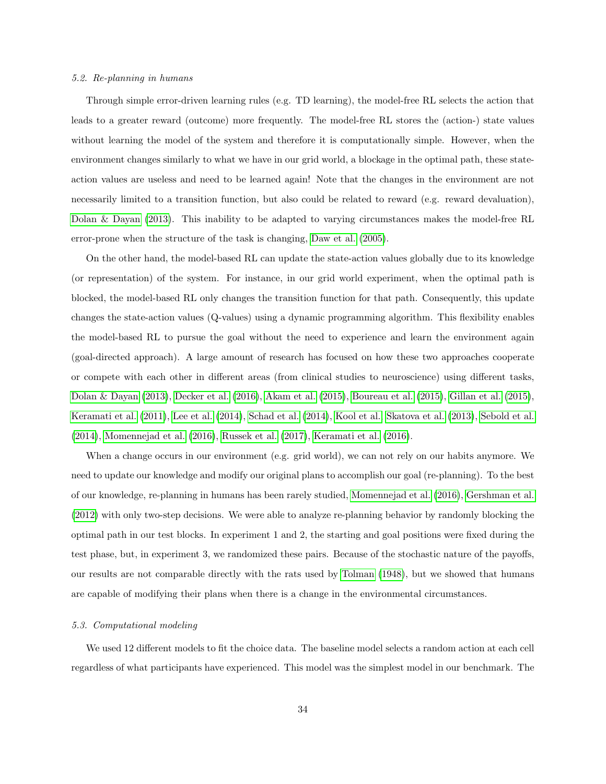### 5.2. Re-planning in humans

Through simple error-driven learning rules (e.g. TD learning), the model-free RL selects the action that leads to a greater reward (outcome) more frequently. The model-free RL stores the (action-) state values without learning the model of the system and therefore it is computationally simple. However, when the environment changes similarly to what we have in our grid world, a blockage in the optimal path, these stateaction values are useless and need to be learned again! Note that the changes in the environment are not necessarily limited to a transition function, but also could be related to reward (e.g. reward devaluation), [Dolan & Dayan](#page-39-4) [\(2013\)](#page-39-4). This inability to be adapted to varying circumstances makes the model-free RL error-prone when the structure of the task is changing, [Daw et al.](#page-38-4) [\(2005\)](#page-38-4).

On the other hand, the model-based RL can update the state-action values globally due to its knowledge (or representation) of the system. For instance, in our grid world experiment, when the optimal path is blocked, the model-based RL only changes the transition function for that path. Consequently, this update changes the state-action values (Q-values) using a dynamic programming algorithm. This flexibility enables the model-based RL to pursue the goal without the need to experience and learn the environment again (goal-directed approach). A large amount of research has focused on how these two approaches cooperate or compete with each other in different areas (from clinical studies to neuroscience) using different tasks, [Dolan & Dayan](#page-39-4) [\(2013\)](#page-39-4), [Decker et al.](#page-39-5) [\(2016\)](#page-39-5), [Akam et al.](#page-38-6) [\(2015\)](#page-38-6), [Boureau et al.](#page-38-7) [\(2015\)](#page-38-7), [Gillan et al.](#page-40-11) [\(2015\)](#page-40-11), [Keramati et al.](#page-41-2) [\(2011\)](#page-41-2), [Lee et al.](#page-41-7) [\(2014\)](#page-41-7), [Schad et al.](#page-42-6) [\(2014\)](#page-42-6), [Kool et al.,](#page-41-8) [Skatova et al.](#page-42-7) [\(2013\)](#page-42-7), [Sebold et al.](#page-42-8) [\(2014\)](#page-42-8), [Momennejad et al.](#page-41-0) [\(2016\)](#page-41-0), [Russek et al.](#page-41-5) [\(2017\)](#page-41-5), [Keramati et al.](#page-41-1) [\(2016\)](#page-41-1).

When a change occurs in our environment (e.g. grid world), we can not rely on our habits anymore. We need to update our knowledge and modify our original plans to accomplish our goal (re-planning). To the best of our knowledge, re-planning in humans has been rarely studied, [Momennejad et al.](#page-41-0) [\(2016\)](#page-41-0), [Gershman et al.](#page-40-9) [\(2012\)](#page-40-9) with only two-step decisions. We were able to analyze re-planning behavior by randomly blocking the optimal path in our test blocks. In experiment 1 and 2, the starting and goal positions were fixed during the test phase, but, in experiment 3, we randomized these pairs. Because of the stochastic nature of the payoffs, our results are not comparable directly with the rats used by [Tolman](#page-42-2) [\(1948\)](#page-42-2), but we showed that humans are capable of modifying their plans when there is a change in the environmental circumstances.

#### 5.3. Computational modeling

We used 12 different models to fit the choice data. The baseline model selects a random action at each cell regardless of what participants have experienced. This model was the simplest model in our benchmark. The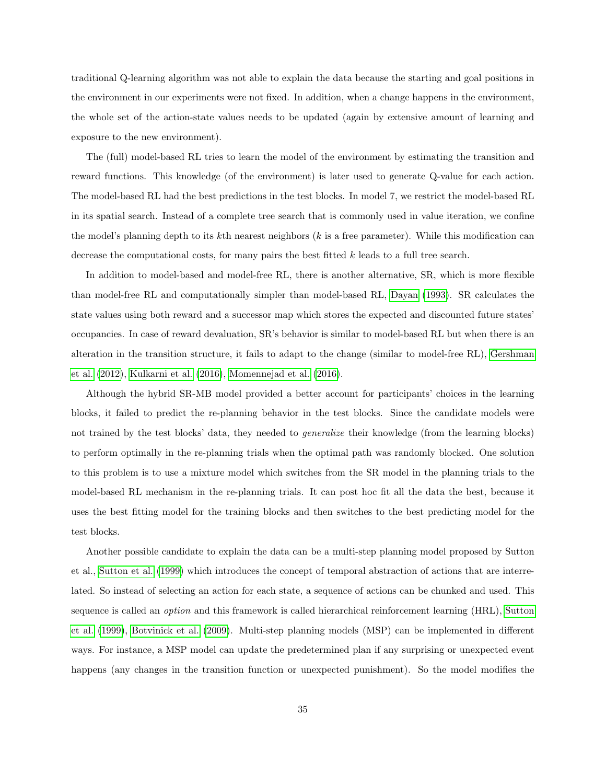traditional Q-learning algorithm was not able to explain the data because the starting and goal positions in the environment in our experiments were not fixed. In addition, when a change happens in the environment, the whole set of the action-state values needs to be updated (again by extensive amount of learning and exposure to the new environment).

The (full) model-based RL tries to learn the model of the environment by estimating the transition and reward functions. This knowledge (of the environment) is later used to generate Q-value for each action. The model-based RL had the best predictions in the test blocks. In model 7, we restrict the model-based RL in its spatial search. Instead of a complete tree search that is commonly used in value iteration, we confine the model's planning depth to its kth nearest neighbors  $(k \text{ is a free parameter})$ . While this modification can decrease the computational costs, for many pairs the best fitted k leads to a full tree search.

In addition to model-based and model-free RL, there is another alternative, SR, which is more flexible than model-free RL and computationally simpler than model-based RL, [Dayan](#page-38-5) [\(1993\)](#page-38-5). SR calculates the state values using both reward and a successor map which stores the expected and discounted future states' occupancies. In case of reward devaluation, SR's behavior is similar to model-based RL but when there is an alteration in the transition structure, it fails to adapt to the change (similar to model-free RL), [Gershman](#page-40-9) [et al.](#page-40-9) [\(2012\)](#page-40-9), [Kulkarni et al.](#page-41-4) [\(2016\)](#page-41-4), [Momennejad et al.](#page-41-0) [\(2016\)](#page-41-0).

Although the hybrid SR-MB model provided a better account for participants' choices in the learning blocks, it failed to predict the re-planning behavior in the test blocks. Since the candidate models were not trained by the test blocks' data, they needed to *generalize* their knowledge (from the learning blocks) to perform optimally in the re-planning trials when the optimal path was randomly blocked. One solution to this problem is to use a mixture model which switches from the SR model in the planning trials to the model-based RL mechanism in the re-planning trials. It can post hoc fit all the data the best, because it uses the best fitting model for the training blocks and then switches to the best predicting model for the test blocks.

Another possible candidate to explain the data can be a multi-step planning model proposed by Sutton et al., [Sutton et al.](#page-42-9) [\(1999\)](#page-42-9) which introduces the concept of temporal abstraction of actions that are interrelated. So instead of selecting an action for each state, a sequence of actions can be chunked and used. This sequence is called an option and this framework is called hierarchical reinforcement learning (HRL), [Sutton](#page-42-9) [et al.](#page-42-9) [\(1999\)](#page-42-9), [Botvinick et al.](#page-38-1) [\(2009\)](#page-38-1). Multi-step planning models (MSP) can be implemented in different ways. For instance, a MSP model can update the predetermined plan if any surprising or unexpected event happens (any changes in the transition function or unexpected punishment). So the model modifies the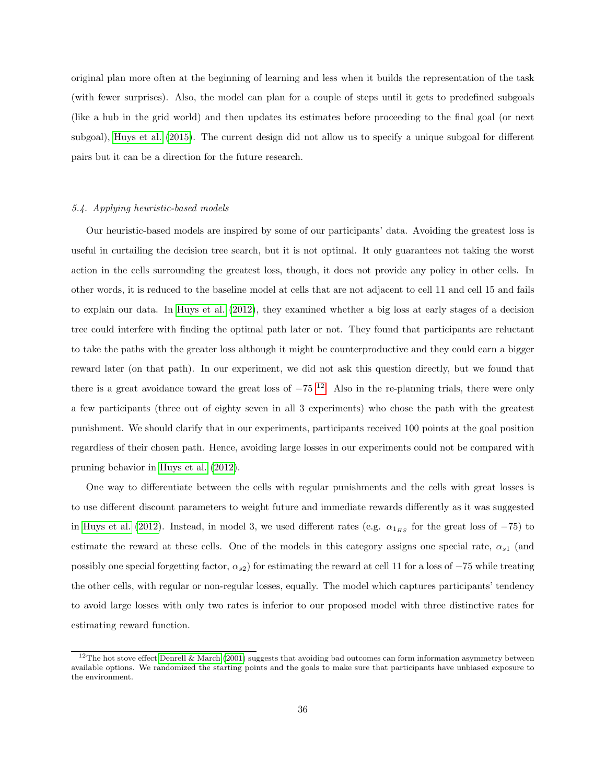original plan more often at the beginning of learning and less when it builds the representation of the task (with fewer surprises). Also, the model can plan for a couple of steps until it gets to predefined subgoals (like a hub in the grid world) and then updates its estimates before proceeding to the final goal (or next subgoal), [Huys et al.](#page-40-8) [\(2015\)](#page-40-8). The current design did not allow us to specify a unique subgoal for different pairs but it can be a direction for the future research.

#### 5.4. Applying heuristic-based models

Our heuristic-based models are inspired by some of our participants' data. Avoiding the greatest loss is useful in curtailing the decision tree search, but it is not optimal. It only guarantees not taking the worst action in the cells surrounding the greatest loss, though, it does not provide any policy in other cells. In other words, it is reduced to the baseline model at cells that are not adjacent to cell 11 and cell 15 and fails to explain our data. In [Huys et al.](#page-40-2) [\(2012\)](#page-40-2), they examined whether a big loss at early stages of a decision tree could interfere with finding the optimal path later or not. They found that participants are reluctant to take the paths with the greater loss although it might be counterproductive and they could earn a bigger reward later (on that path). In our experiment, we did not ask this question directly, but we found that there is a great avoidance toward the great loss of  $-75$  <sup>[12](#page-35-0)</sup>. Also in the re-planning trials, there were only a few participants (three out of eighty seven in all 3 experiments) who chose the path with the greatest punishment. We should clarify that in our experiments, participants received 100 points at the goal position regardless of their chosen path. Hence, avoiding large losses in our experiments could not be compared with pruning behavior in [Huys et al.](#page-40-2) [\(2012\)](#page-40-2).

One way to differentiate between the cells with regular punishments and the cells with great losses is to use different discount parameters to weight future and immediate rewards differently as it was suggested in [Huys et al.](#page-40-2) [\(2012\)](#page-40-2). Instead, in model 3, we used different rates (e.g.  $\alpha_{1_{HS}}$  for the great loss of −75) to estimate the reward at these cells. One of the models in this category assigns one special rate,  $\alpha_{s1}$  (and possibly one special forgetting factor,  $\alpha_{s2}$ ) for estimating the reward at cell 11 for a loss of  $-75$  while treating the other cells, with regular or non-regular losses, equally. The model which captures participants' tendency to avoid large losses with only two rates is inferior to our proposed model with three distinctive rates for estimating reward function.

<span id="page-35-0"></span> $12$ The hot stove effect [Denrell & March](#page-39-6) [\(2001\)](#page-39-6) suggests that avoiding bad outcomes can form information asymmetry between available options. We randomized the starting points and the goals to make sure that participants have unbiased exposure to the environment.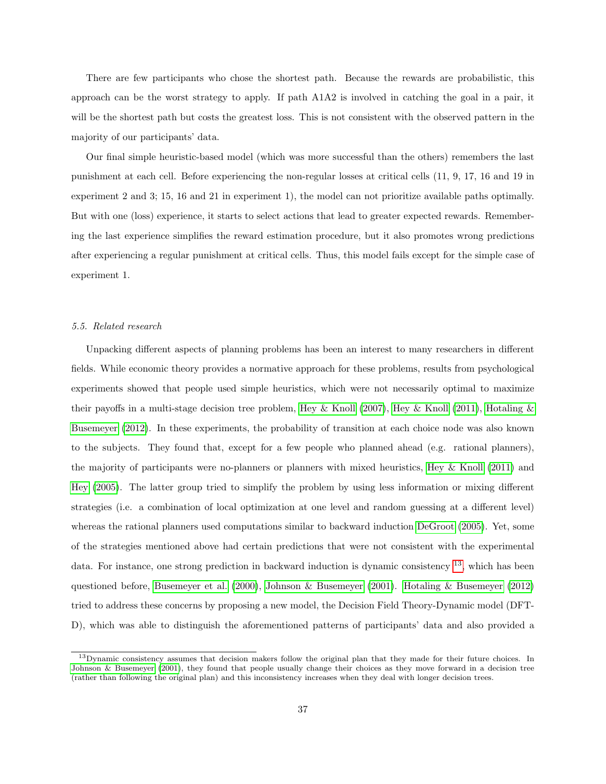There are few participants who chose the shortest path. Because the rewards are probabilistic, this approach can be the worst strategy to apply. If path A1A2 is involved in catching the goal in a pair, it will be the shortest path but costs the greatest loss. This is not consistent with the observed pattern in the majority of our participants' data.

Our final simple heuristic-based model (which was more successful than the others) remembers the last punishment at each cell. Before experiencing the non-regular losses at critical cells (11, 9, 17, 16 and 19 in experiment 2 and 3; 15, 16 and 21 in experiment 1), the model can not prioritize available paths optimally. But with one (loss) experience, it starts to select actions that lead to greater expected rewards. Remembering the last experience simplifies the reward estimation procedure, but it also promotes wrong predictions after experiencing a regular punishment at critical cells. Thus, this model fails except for the simple case of experiment 1.

# 5.5. Related research

Unpacking different aspects of planning problems has been an interest to many researchers in different fields. While economic theory provides a normative approach for these problems, results from psychological experiments showed that people used simple heuristics, which were not necessarily optimal to maximize their payoffs in a multi-stage decision tree problem, [Hey & Knoll](#page-40-4) [\(2007\)](#page-40-12), Hey & Knoll [\(2011\)](#page-40-4), [Hotaling &](#page-40-3) [Busemeyer](#page-40-3) [\(2012\)](#page-40-3). In these experiments, the probability of transition at each choice node was also known to the subjects. They found that, except for a few people who planned ahead (e.g. rational planners), the majority of participants were no-planners or planners with mixed heuristics, [Hey & Knoll](#page-40-4) [\(2011\)](#page-40-4) and [Hey](#page-40-7) [\(2005\)](#page-40-7). The latter group tried to simplify the problem by using less information or mixing different strategies (i.e. a combination of local optimization at one level and random guessing at a different level) whereas the rational planners used computations similar to backward induction [DeGroot](#page-39-7) [\(2005\)](#page-39-7). Yet, some of the strategies mentioned above had certain predictions that were not consistent with the experimental data. For instance, one strong prediction in backward induction is dynamic consistency [13](#page-36-0), which has been questioned before, [Busemeyer et al.](#page-38-8) [\(2000\)](#page-38-8), [Johnson & Busemeyer](#page-40-5) [\(2001\)](#page-40-5). [Hotaling & Busemeyer](#page-40-3) [\(2012\)](#page-40-3) tried to address these concerns by proposing a new model, the Decision Field Theory-Dynamic model (DFT-D), which was able to distinguish the aforementioned patterns of participants' data and also provided a

<span id="page-36-0"></span><sup>&</sup>lt;sup>13</sup>Dynamic consistency assumes that decision makers follow the original plan that they made for their future choices. In [Johnson & Busemeyer](#page-40-5) [\(2001\)](#page-40-5), they found that people usually change their choices as they move forward in a decision tree (rather than following the original plan) and this inconsistency increases when they deal with longer decision trees.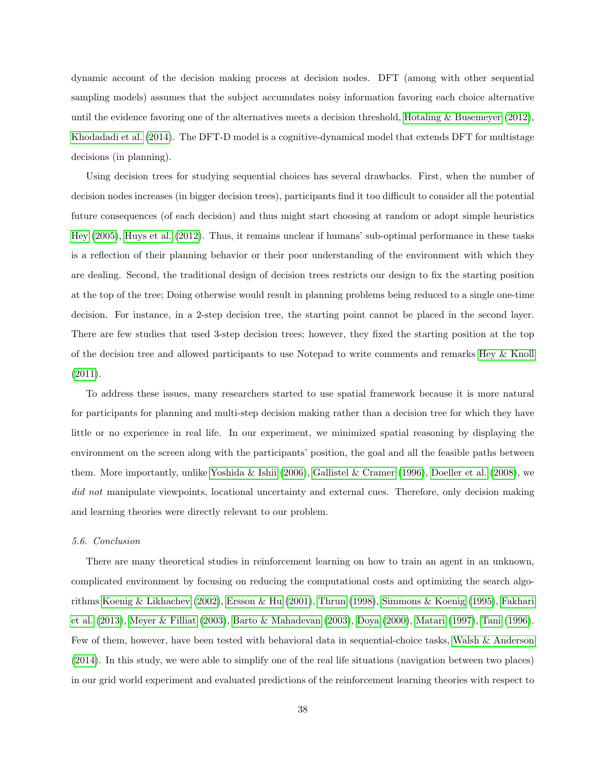dynamic account of the decision making process at decision nodes. DFT (among with other sequential sampling models) assumes that the subject accumulates noisy information favoring each choice alternative until the evidence favoring one of the alternatives meets a decision threshold, [Hotaling & Busemeyer](#page-40-3) [\(2012\)](#page-40-3), [Khodadadi et al.](#page-41-3) [\(2014\)](#page-41-3). The DFT-D model is a cognitive-dynamical model that extends DFT for multistage decisions (in planning).

Using decision trees for studying sequential choices has several drawbacks. First, when the number of decision nodes increases (in bigger decision trees), participants find it too difficult to consider all the potential future consequences (of each decision) and thus might start choosing at random or adopt simple heuristics [Hey](#page-40-7) [\(2005\)](#page-40-7), [Huys et al.](#page-40-2) [\(2012\)](#page-40-2). Thus, it remains unclear if humans' sub-optimal performance in these tasks is a reflection of their planning behavior or their poor understanding of the environment with which they are dealing. Second, the traditional design of decision trees restricts our design to fix the starting position at the top of the tree; Doing otherwise would result in planning problems being reduced to a single one-time decision. For instance, in a 2-step decision tree, the starting point cannot be placed in the second layer. There are few studies that used 3-step decision trees; however, they fixed the starting position at the top of the decision tree and allowed participants to use Notepad to write comments and remarks [Hey & Knoll](#page-40-4) [\(2011\)](#page-40-4).

To address these issues, many researchers started to use spatial framework because it is more natural for participants for planning and multi-step decision making rather than a decision tree for which they have little or no experience in real life. In our experiment, we minimized spatial reasoning by displaying the environment on the screen along with the participants' position, the goal and all the feasible paths between them. More importantly, unlike [Yoshida & Ishii](#page-43-5) [\(2006\)](#page-43-5), [Gallistel & Cramer](#page-39-8) [\(1996\)](#page-39-8), [Doeller et al.](#page-39-9) [\(2008\)](#page-39-9), we did not manipulate viewpoints, locational uncertainty and external cues. Therefore, only decision making and learning theories were directly relevant to our problem.

#### 5.6. Conclusion

There are many theoretical studies in reinforcement learning on how to train an agent in an unknown, complicated environment by focusing on reducing the computational costs and optimizing the search algorithms [Koenig & Likhachev](#page-41-9) [\(2002\)](#page-41-9), [Ersson & Hu](#page-39-10) [\(2001\)](#page-39-10), [Thrun](#page-42-10) [\(1998\)](#page-42-10), [Simmons & Koenig](#page-42-11) [\(1995\)](#page-42-11), [Fakhari](#page-39-11) [et al.](#page-39-11) [\(2013\)](#page-39-11), [Meyer & Filliat](#page-41-10) [\(2003\)](#page-41-10), [Barto & Mahadevan](#page-38-9) [\(2003\)](#page-38-9), [Doya](#page-39-12) [\(2000\)](#page-39-12), [Matari](#page-41-11) [\(1997\)](#page-41-11), [Tani](#page-42-12) [\(1996\)](#page-42-12). Few of them, however, have been tested with behavioral data in sequential-choice tasks, [Walsh & Anderson](#page-43-1) [\(2014\)](#page-43-1). In this study, we were able to simplify one of the real life situations (navigation between two places) in our grid world experiment and evaluated predictions of the reinforcement learning theories with respect to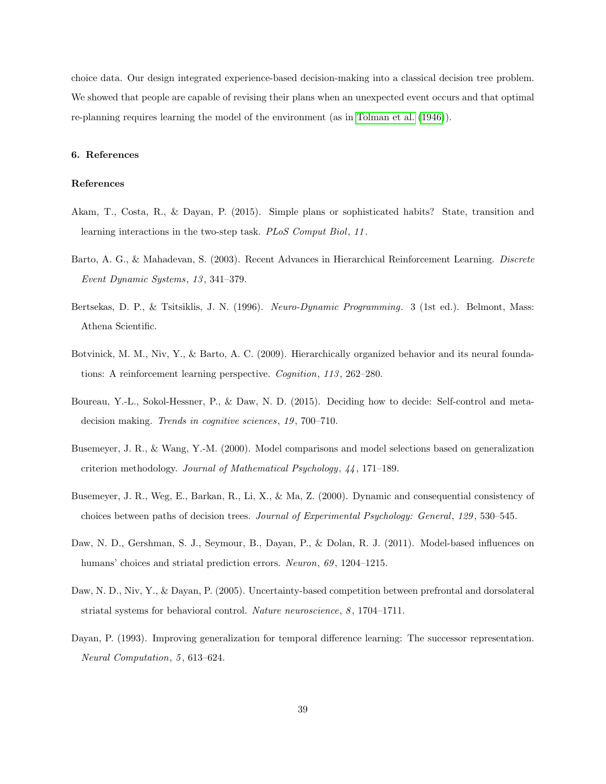choice data. Our design integrated experience-based decision-making into a classical decision tree problem. We showed that people are capable of revising their plans when an unexpected event occurs and that optimal re-planning requires learning the model of the environment (as in [Tolman et al.](#page-43-4) [\(1946\)](#page-43-4)).

# 6. References

# References

- <span id="page-38-6"></span>Akam, T., Costa, R., & Dayan, P. (2015). Simple plans or sophisticated habits? State, transition and learning interactions in the two-step task. PLoS Comput Biol, 11.
- <span id="page-38-9"></span>Barto, A. G., & Mahadevan, S. (2003). Recent Advances in Hierarchical Reinforcement Learning. Discrete Event Dynamic Systems, 13 , 341–379.
- <span id="page-38-3"></span>Bertsekas, D. P., & Tsitsiklis, J. N. (1996). Neuro-Dynamic Programming. 3 (1st ed.). Belmont, Mass: Athena Scientific.
- <span id="page-38-1"></span>Botvinick, M. M., Niv, Y., & Barto, A. C. (2009). Hierarchically organized behavior and its neural foundations: A reinforcement learning perspective. Cognition, 113, 262-280.
- <span id="page-38-7"></span>Boureau, Y.-L., Sokol-Hessner, P., & Daw, N. D. (2015). Deciding how to decide: Self-control and metadecision making. Trends in cognitive sciences, 19, 700-710.
- <span id="page-38-2"></span>Busemeyer, J. R., & Wang, Y.-M. (2000). Model comparisons and model selections based on generalization criterion methodology. Journal of Mathematical Psychology, 44 , 171–189.
- <span id="page-38-8"></span>Busemeyer, J. R., Weg, E., Barkan, R., Li, X., & Ma, Z. (2000). Dynamic and consequential consistency of choices between paths of decision trees. Journal of Experimental Psychology: General, 129, 530–545.
- <span id="page-38-0"></span>Daw, N. D., Gershman, S. J., Seymour, B., Dayan, P., & Dolan, R. J. (2011). Model-based influences on humans' choices and striatal prediction errors. Neuron, 69, 1204–1215.
- <span id="page-38-4"></span>Daw, N. D., Niv, Y., & Dayan, P. (2005). Uncertainty-based competition between prefrontal and dorsolateral striatal systems for behavioral control. Nature neuroscience, 8, 1704–1711.
- <span id="page-38-5"></span>Dayan, P. (1993). Improving generalization for temporal difference learning: The successor representation. Neural Computation, 5, 613-624.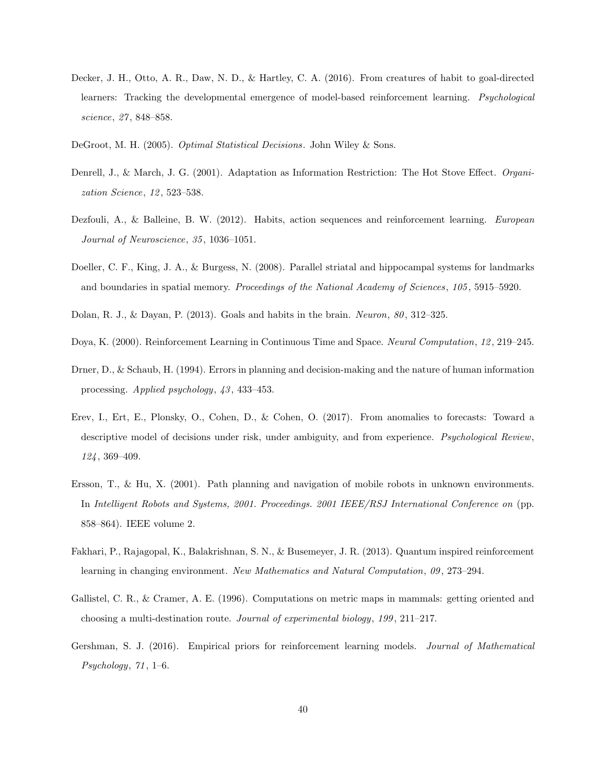- <span id="page-39-5"></span>Decker, J. H., Otto, A. R., Daw, N. D., & Hartley, C. A. (2016). From creatures of habit to goal-directed learners: Tracking the developmental emergence of model-based reinforcement learning. *Psychological* science, 27 , 848–858.
- <span id="page-39-7"></span>DeGroot, M. H. (2005). Optimal Statistical Decisions. John Wiley & Sons.
- <span id="page-39-6"></span>Denrell, J., & March, J. G. (2001). Adaptation as Information Restriction: The Hot Stove Effect. Organization Science, 12, 523-538.
- <span id="page-39-0"></span>Dezfouli, A., & Balleine, B. W. (2012). Habits, action sequences and reinforcement learning. European Journal of Neuroscience, 35 , 1036–1051.
- <span id="page-39-9"></span>Doeller, C. F., King, J. A., & Burgess, N. (2008). Parallel striatal and hippocampal systems for landmarks and boundaries in spatial memory. Proceedings of the National Academy of Sciences, 105, 5915–5920.
- <span id="page-39-4"></span>Dolan, R. J., & Dayan, P. (2013). Goals and habits in the brain. Neuron,  $80$ , 312–325.
- <span id="page-39-12"></span>Doya, K. (2000). Reinforcement Learning in Continuous Time and Space. Neural Computation, 12 , 219–245.
- <span id="page-39-1"></span>Drner, D., & Schaub, H. (1994). Errors in planning and decision-making and the nature of human information processing. Applied psychology, 43 , 433–453.
- <span id="page-39-3"></span>Erev, I., Ert, E., Plonsky, O., Cohen, D., & Cohen, O. (2017). From anomalies to forecasts: Toward a descriptive model of decisions under risk, under ambiguity, and from experience. *Psychological Review*, 124 , 369–409.
- <span id="page-39-10"></span>Ersson, T., & Hu, X. (2001). Path planning and navigation of mobile robots in unknown environments. In Intelligent Robots and Systems, 2001. Proceedings. 2001 IEEE/RSJ International Conference on (pp. 858–864). IEEE volume 2.
- <span id="page-39-11"></span>Fakhari, P., Rajagopal, K., Balakrishnan, S. N., & Busemeyer, J. R. (2013). Quantum inspired reinforcement learning in changing environment. New Mathematics and Natural Computation, 09, 273–294.
- <span id="page-39-8"></span>Gallistel, C. R., & Cramer, A. E. (1996). Computations on metric maps in mammals: getting oriented and choosing a multi-destination route. Journal of experimental biology, 199, 211–217.
- <span id="page-39-2"></span>Gershman, S. J. (2016). Empirical priors for reinforcement learning models. Journal of Mathematical  $Psychology, 71, 1–6.$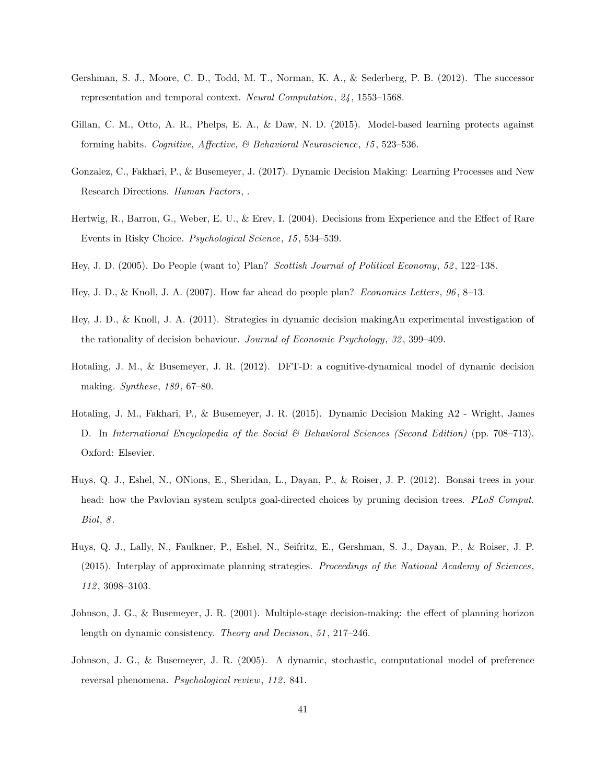- <span id="page-40-9"></span>Gershman, S. J., Moore, C. D., Todd, M. T., Norman, K. A., & Sederberg, P. B. (2012). The successor representation and temporal context. Neural Computation, 24 , 1553–1568.
- <span id="page-40-11"></span>Gillan, C. M., Otto, A. R., Phelps, E. A., & Daw, N. D. (2015). Model-based learning protects against forming habits. Cognitive, Affective, & Behavioral Neuroscience, 15 , 523–536.
- <span id="page-40-1"></span>Gonzalez, C., Fakhari, P., & Busemeyer, J. (2017). Dynamic Decision Making: Learning Processes and New Research Directions. Human Factors, .
- <span id="page-40-10"></span>Hertwig, R., Barron, G., Weber, E. U., & Erev, I. (2004). Decisions from Experience and the Effect of Rare Events in Risky Choice. Psychological Science, 15 , 534–539.
- <span id="page-40-7"></span>Hey, J. D. (2005). Do People (want to) Plan? Scottish Journal of Political Economy, 52 , 122–138.
- <span id="page-40-12"></span>Hey, J. D., & Knoll, J. A. (2007). How far ahead do people plan? Economics Letters, 96 , 8–13.
- <span id="page-40-4"></span>Hey, J. D., & Knoll, J. A. (2011). Strategies in dynamic decision makingAn experimental investigation of the rationality of decision behaviour. Journal of Economic Psychology, 32, 399–409.
- <span id="page-40-3"></span>Hotaling, J. M., & Busemeyer, J. R. (2012). DFT-D: a cognitive-dynamical model of dynamic decision making. Synthese, 189, 67–80.
- <span id="page-40-0"></span>Hotaling, J. M., Fakhari, P., & Busemeyer, J. R. (2015). Dynamic Decision Making A2 - Wright, James D. In International Encyclopedia of the Social & Behavioral Sciences (Second Edition) (pp. 708–713). Oxford: Elsevier.
- <span id="page-40-2"></span>Huys, Q. J., Eshel, N., ONions, E., Sheridan, L., Dayan, P., & Roiser, J. P. (2012). Bonsai trees in your head: how the Pavlovian system sculpts goal-directed choices by pruning decision trees. PLoS Comput.  $Biol, 8.$
- <span id="page-40-8"></span>Huys, Q. J., Lally, N., Faulkner, P., Eshel, N., Seifritz, E., Gershman, S. J., Dayan, P., & Roiser, J. P. (2015). Interplay of approximate planning strategies. Proceedings of the National Academy of Sciences, 112 , 3098–3103.
- <span id="page-40-5"></span>Johnson, J. G., & Busemeyer, J. R. (2001). Multiple-stage decision-making: the effect of planning horizon length on dynamic consistency. Theory and Decision, 51, 217–246.
- <span id="page-40-6"></span>Johnson, J. G., & Busemeyer, J. R. (2005). A dynamic, stochastic, computational model of preference reversal phenomena. Psychological review, 112, 841.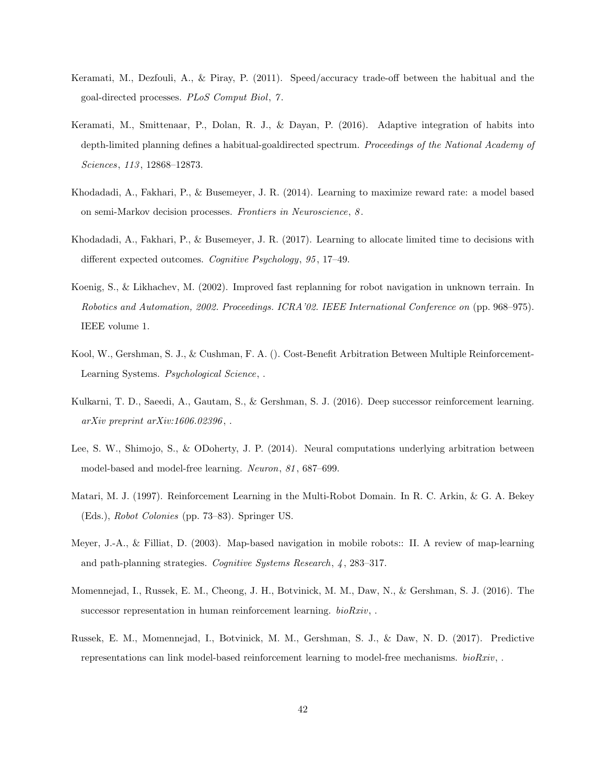- <span id="page-41-2"></span>Keramati, M., Dezfouli, A., & Piray, P. (2011). Speed/accuracy trade-off between the habitual and the goal-directed processes. PLoS Comput Biol, 7 .
- <span id="page-41-1"></span>Keramati, M., Smittenaar, P., Dolan, R. J., & Dayan, P. (2016). Adaptive integration of habits into depth-limited planning defines a habitual-goaldirected spectrum. Proceedings of the National Academy of Sciences, 113, 12868-12873.
- <span id="page-41-3"></span>Khodadadi, A., Fakhari, P., & Busemeyer, J. R. (2014). Learning to maximize reward rate: a model based on semi-Markov decision processes. Frontiers in Neuroscience, 8 .
- <span id="page-41-6"></span>Khodadadi, A., Fakhari, P., & Busemeyer, J. R. (2017). Learning to allocate limited time to decisions with different expected outcomes. Cognitive Psychology, 95, 17-49.
- <span id="page-41-9"></span>Koenig, S., & Likhachev, M. (2002). Improved fast replanning for robot navigation in unknown terrain. In Robotics and Automation, 2002. Proceedings. ICRA'02. IEEE International Conference on (pp. 968–975). IEEE volume 1.
- <span id="page-41-8"></span>Kool, W., Gershman, S. J., & Cushman, F. A. (). Cost-Benefit Arbitration Between Multiple Reinforcement-Learning Systems. Psychological Science, .
- <span id="page-41-4"></span>Kulkarni, T. D., Saeedi, A., Gautam, S., & Gershman, S. J. (2016). Deep successor reinforcement learning.  $arXiv$  preprint  $arXiv:1606.02396$ ,.
- <span id="page-41-7"></span>Lee, S. W., Shimojo, S., & ODoherty, J. P. (2014). Neural computations underlying arbitration between model-based and model-free learning. Neuron, 81 , 687–699.
- <span id="page-41-11"></span>Matari, M. J. (1997). Reinforcement Learning in the Multi-Robot Domain. In R. C. Arkin, & G. A. Bekey (Eds.), Robot Colonies (pp. 73–83). Springer US.
- <span id="page-41-10"></span>Meyer, J.-A., & Filliat, D. (2003). Map-based navigation in mobile robots:: II. A review of map-learning and path-planning strategies. Cognitive Systems Research, 4 , 283–317.
- <span id="page-41-0"></span>Momennejad, I., Russek, E. M., Cheong, J. H., Botvinick, M. M., Daw, N., & Gershman, S. J. (2016). The successor representation in human reinforcement learning.  $bioRxiv,$ .
- <span id="page-41-5"></span>Russek, E. M., Momennejad, I., Botvinick, M. M., Gershman, S. J., & Daw, N. D. (2017). Predictive representations can link model-based reinforcement learning to model-free mechanisms.  $bioRxiv,$ .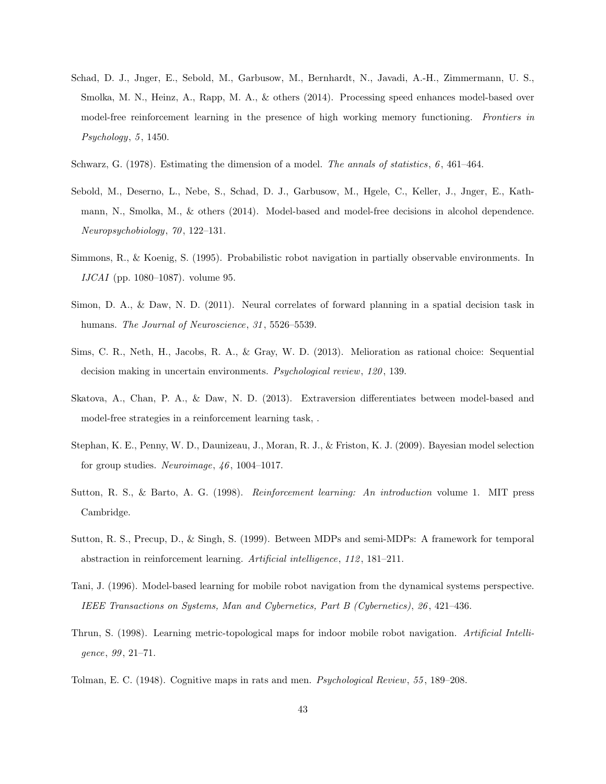- <span id="page-42-6"></span>Schad, D. J., Jnger, E., Sebold, M., Garbusow, M., Bernhardt, N., Javadi, A.-H., Zimmermann, U. S., Smolka, M. N., Heinz, A., Rapp, M. A., & others (2014). Processing speed enhances model-based over model-free reinforcement learning in the presence of high working memory functioning. Frontiers in  $Psychology, 5, 1450.$
- <span id="page-42-4"></span>Schwarz, G. (1978). Estimating the dimension of a model. The annals of statistics, 6 , 461–464.
- <span id="page-42-8"></span>Sebold, M., Deserno, L., Nebe, S., Schad, D. J., Garbusow, M., Hgele, C., Keller, J., Jnger, E., Kathmann, N., Smolka, M., & others (2014). Model-based and model-free decisions in alcohol dependence. Neuropsychobiology, 70 , 122–131.
- <span id="page-42-11"></span>Simmons, R., & Koenig, S. (1995). Probabilistic robot navigation in partially observable environments. In IJCAI (pp. 1080–1087). volume 95.
- <span id="page-42-3"></span>Simon, D. A., & Daw, N. D. (2011). Neural correlates of forward planning in a spatial decision task in humans. The Journal of Neuroscience, 31, 5526-5539.
- <span id="page-42-0"></span>Sims, C. R., Neth, H., Jacobs, R. A., & Gray, W. D. (2013). Melioration as rational choice: Sequential decision making in uncertain environments. *Psychological review*, 120, 139.
- <span id="page-42-7"></span>Skatova, A., Chan, P. A., & Daw, N. D. (2013). Extraversion differentiates between model-based and model-free strategies in a reinforcement learning task, .
- <span id="page-42-5"></span>Stephan, K. E., Penny, W. D., Daunizeau, J., Moran, R. J., & Friston, K. J. (2009). Bayesian model selection for group studies. Neuroimage,  $46, 1004-1017$ .
- <span id="page-42-1"></span>Sutton, R. S., & Barto, A. G. (1998). Reinforcement learning: An introduction volume 1. MIT press Cambridge.
- <span id="page-42-9"></span>Sutton, R. S., Precup, D., & Singh, S. (1999). Between MDPs and semi-MDPs: A framework for temporal abstraction in reinforcement learning. Artificial intelligence, 112 , 181–211.
- <span id="page-42-12"></span>Tani, J. (1996). Model-based learning for mobile robot navigation from the dynamical systems perspective. IEEE Transactions on Systems, Man and Cybernetics, Part B (Cybernetics), 26 , 421–436.
- <span id="page-42-10"></span>Thrun, S. (1998). Learning metric-topological maps for indoor mobile robot navigation. Artificial Intelligence, 99 , 21–71.
- <span id="page-42-2"></span>Tolman, E. C. (1948). Cognitive maps in rats and men. Psychological Review, 55 , 189–208.